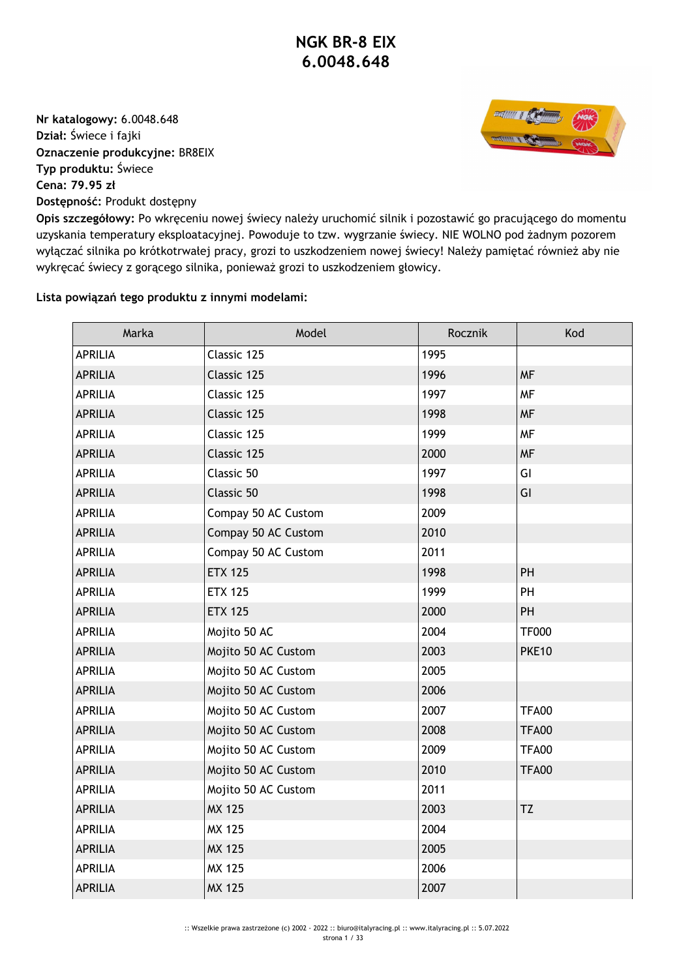**Nr katalogowy:** 6.0048.648 **Dział:** Świece i fajki **Oznaczenie produkcyjne:** BR8EIX **Typ produktu:** Świece **Cena: 79.95 zł Dostępność:** Produkt dostępny



**Opis szczegółowy:** Po wkręceniu nowej świecy należy uruchomić silnik i pozostawić go pracującego do momentu uzyskania temperatury eksploatacyjnej. Powoduje to tzw. wygrzanie świecy. NIE WOLNO pod żadnym pozorem wyłączać silnika po krótkotrwałej pracy, grozi to uszkodzeniem nowej świecy! Należy pamiętać również aby nie wykręcać świecy z gorącego silnika, ponieważ grozi to uszkodzeniem głowicy.

## **Lista powiązań tego produktu z innymi modelami:**

| Marka          | Model               | Rocznik | Kod          |
|----------------|---------------------|---------|--------------|
| <b>APRILIA</b> | Classic 125         | 1995    |              |
| <b>APRILIA</b> | Classic 125         | 1996    | <b>MF</b>    |
| <b>APRILIA</b> | Classic 125         | 1997    | <b>MF</b>    |
| <b>APRILIA</b> | Classic 125         | 1998    | <b>MF</b>    |
| <b>APRILIA</b> | Classic 125         | 1999    | <b>MF</b>    |
| <b>APRILIA</b> | Classic 125         | 2000    | <b>MF</b>    |
| <b>APRILIA</b> | Classic 50          | 1997    | GI           |
| <b>APRILIA</b> | Classic 50          | 1998    | GI           |
| <b>APRILIA</b> | Compay 50 AC Custom | 2009    |              |
| <b>APRILIA</b> | Compay 50 AC Custom | 2010    |              |
| <b>APRILIA</b> | Compay 50 AC Custom | 2011    |              |
| <b>APRILIA</b> | <b>ETX 125</b>      | 1998    | PH           |
| <b>APRILIA</b> | <b>ETX 125</b>      | 1999    | PH           |
| <b>APRILIA</b> | <b>ETX 125</b>      | 2000    | PH           |
| <b>APRILIA</b> | Mojito 50 AC        | 2004    | <b>TF000</b> |
| <b>APRILIA</b> | Mojito 50 AC Custom | 2003    | <b>PKE10</b> |
| <b>APRILIA</b> | Mojito 50 AC Custom | 2005    |              |
| <b>APRILIA</b> | Mojito 50 AC Custom | 2006    |              |
| <b>APRILIA</b> | Mojito 50 AC Custom | 2007    | <b>TFA00</b> |
| <b>APRILIA</b> | Mojito 50 AC Custom | 2008    | <b>TFA00</b> |
| <b>APRILIA</b> | Mojito 50 AC Custom | 2009    | <b>TFA00</b> |
| <b>APRILIA</b> | Mojito 50 AC Custom | 2010    | <b>TFA00</b> |
| <b>APRILIA</b> | Mojito 50 AC Custom | 2011    |              |
| <b>APRILIA</b> | <b>MX 125</b>       | 2003    | TZ           |
| <b>APRILIA</b> | MX 125              | 2004    |              |
| <b>APRILIA</b> | <b>MX 125</b>       | 2005    |              |
| <b>APRILIA</b> | <b>MX 125</b>       | 2006    |              |
| <b>APRILIA</b> | <b>MX 125</b>       | 2007    |              |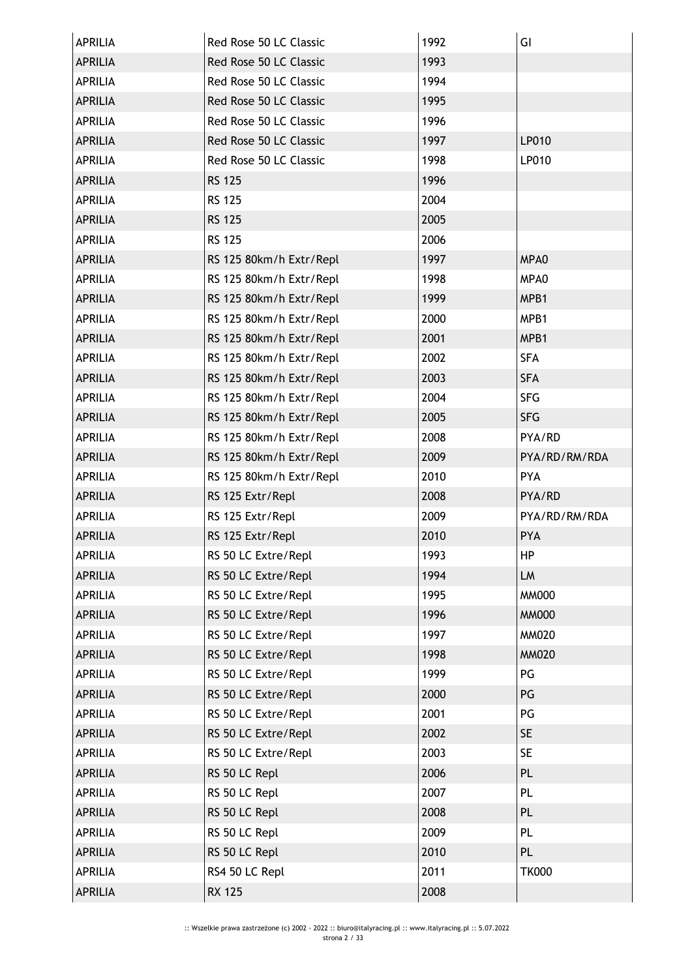| <b>APRILIA</b> | Red Rose 50 LC Classic  | 1992 | GI            |
|----------------|-------------------------|------|---------------|
| <b>APRILIA</b> | Red Rose 50 LC Classic  | 1993 |               |
| <b>APRILIA</b> | Red Rose 50 LC Classic  | 1994 |               |
| <b>APRILIA</b> | Red Rose 50 LC Classic  | 1995 |               |
| <b>APRILIA</b> | Red Rose 50 LC Classic  | 1996 |               |
| <b>APRILIA</b> | Red Rose 50 LC Classic  | 1997 | LP010         |
| <b>APRILIA</b> | Red Rose 50 LC Classic  | 1998 | LP010         |
| <b>APRILIA</b> | <b>RS 125</b>           | 1996 |               |
| <b>APRILIA</b> | <b>RS 125</b>           | 2004 |               |
| <b>APRILIA</b> | <b>RS 125</b>           | 2005 |               |
| <b>APRILIA</b> | <b>RS 125</b>           | 2006 |               |
| <b>APRILIA</b> | RS 125 80km/h Extr/Repl | 1997 | MPA0          |
| <b>APRILIA</b> | RS 125 80km/h Extr/Repl | 1998 | MPA0          |
| <b>APRILIA</b> | RS 125 80km/h Extr/Repl | 1999 | MPB1          |
| <b>APRILIA</b> | RS 125 80km/h Extr/Repl | 2000 | MPB1          |
| <b>APRILIA</b> | RS 125 80km/h Extr/Repl | 2001 | MPB1          |
| <b>APRILIA</b> | RS 125 80km/h Extr/Repl | 2002 | <b>SFA</b>    |
| <b>APRILIA</b> | RS 125 80km/h Extr/Repl | 2003 | <b>SFA</b>    |
| <b>APRILIA</b> | RS 125 80km/h Extr/Repl | 2004 | <b>SFG</b>    |
| <b>APRILIA</b> | RS 125 80km/h Extr/Repl | 2005 | <b>SFG</b>    |
| <b>APRILIA</b> | RS 125 80km/h Extr/Repl | 2008 | PYA/RD        |
| <b>APRILIA</b> | RS 125 80km/h Extr/Repl | 2009 | PYA/RD/RM/RDA |
| <b>APRILIA</b> | RS 125 80km/h Extr/Repl | 2010 | PYA           |
| <b>APRILIA</b> | RS 125 Extr/Repl        | 2008 | PYA/RD        |
| <b>APRILIA</b> | RS 125 Extr/Repl        | 2009 | PYA/RD/RM/RDA |
| <b>APRILIA</b> | RS 125 Extr/Repl        | 2010 | <b>PYA</b>    |
| <b>APRILIA</b> | RS 50 LC Extre/Repl     | 1993 | <b>HP</b>     |
| <b>APRILIA</b> | RS 50 LC Extre/Repl     | 1994 | LM            |
| <b>APRILIA</b> | RS 50 LC Extre/Repl     | 1995 | <b>MM000</b>  |
| <b>APRILIA</b> | RS 50 LC Extre/Repl     | 1996 | <b>MM000</b>  |
| <b>APRILIA</b> | RS 50 LC Extre/Repl     | 1997 | <b>MM020</b>  |
| <b>APRILIA</b> | RS 50 LC Extre/Repl     | 1998 | <b>MM020</b>  |
| <b>APRILIA</b> | RS 50 LC Extre/Repl     | 1999 | PG            |
| <b>APRILIA</b> | RS 50 LC Extre/Repl     | 2000 | PG            |
| <b>APRILIA</b> | RS 50 LC Extre/Repl     | 2001 | PG            |
| <b>APRILIA</b> | RS 50 LC Extre/Repl     | 2002 | <b>SE</b>     |
| <b>APRILIA</b> | RS 50 LC Extre/Repl     | 2003 | <b>SE</b>     |
| <b>APRILIA</b> | RS 50 LC Repl           | 2006 | <b>PL</b>     |
| <b>APRILIA</b> | RS 50 LC Repl           | 2007 | PL            |
| <b>APRILIA</b> | RS 50 LC Repl           | 2008 | <b>PL</b>     |
| <b>APRILIA</b> | RS 50 LC Repl           | 2009 | PL            |
| <b>APRILIA</b> | RS 50 LC Repl           | 2010 | PL            |
| <b>APRILIA</b> | RS4 50 LC Repl          | 2011 | <b>TK000</b>  |
| <b>APRILIA</b> | <b>RX 125</b>           | 2008 |               |
|                |                         |      |               |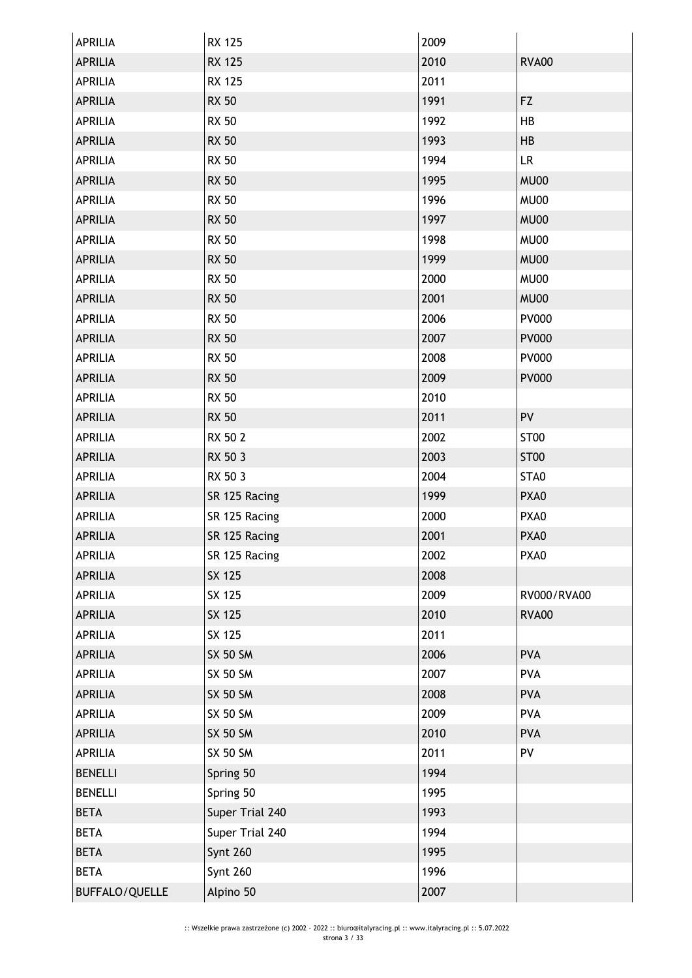| <b>APRILIA</b> | <b>RX 125</b>   | 2009 |                  |
|----------------|-----------------|------|------------------|
| <b>APRILIA</b> | <b>RX 125</b>   | 2010 | <b>RVA00</b>     |
| <b>APRILIA</b> | <b>RX 125</b>   | 2011 |                  |
| <b>APRILIA</b> | <b>RX 50</b>    | 1991 | <b>FZ</b>        |
| <b>APRILIA</b> | <b>RX 50</b>    | 1992 | HB               |
| <b>APRILIA</b> | <b>RX 50</b>    | 1993 | HB               |
| <b>APRILIA</b> | <b>RX 50</b>    | 1994 | LR               |
| <b>APRILIA</b> | <b>RX 50</b>    | 1995 | MU00             |
| <b>APRILIA</b> | <b>RX 50</b>    | 1996 | <b>MU00</b>      |
| <b>APRILIA</b> | <b>RX 50</b>    | 1997 | <b>MU00</b>      |
| <b>APRILIA</b> | <b>RX 50</b>    | 1998 | <b>MU00</b>      |
| <b>APRILIA</b> | <b>RX 50</b>    | 1999 | MU00             |
| <b>APRILIA</b> | <b>RX 50</b>    | 2000 | <b>MU00</b>      |
| <b>APRILIA</b> | <b>RX 50</b>    | 2001 | MU00             |
| <b>APRILIA</b> | <b>RX 50</b>    | 2006 | <b>PV000</b>     |
| <b>APRILIA</b> | <b>RX 50</b>    | 2007 | <b>PV000</b>     |
| <b>APRILIA</b> | <b>RX 50</b>    | 2008 | <b>PV000</b>     |
| <b>APRILIA</b> | <b>RX 50</b>    | 2009 | <b>PV000</b>     |
| <b>APRILIA</b> | <b>RX 50</b>    | 2010 |                  |
| <b>APRILIA</b> | <b>RX 50</b>    | 2011 | PV               |
| <b>APRILIA</b> | RX 50 2         | 2002 | ST <sub>00</sub> |
| <b>APRILIA</b> | RX 50 3         | 2003 | <b>ST00</b>      |
| <b>APRILIA</b> | RX 50 3         | 2004 | STA0             |
| <b>APRILIA</b> | SR 125 Racing   | 1999 | PXA0             |
| <b>APRILIA</b> | SR 125 Racing   | 2000 | PXA0             |
| <b>APRILIA</b> | SR 125 Racing   | 2001 | PXA0             |
| <b>APRILIA</b> | SR 125 Racing   | 2002 | PXA0             |
| <b>APRILIA</b> | SX 125          | 2008 |                  |
| <b>APRILIA</b> | SX 125          | 2009 | RV000/RVA00      |
| <b>APRILIA</b> | SX 125          | 2010 | <b>RVA00</b>     |
| <b>APRILIA</b> | SX 125          | 2011 |                  |
| <b>APRILIA</b> | <b>SX 50 SM</b> | 2006 | <b>PVA</b>       |
| APRILIA        | <b>SX 50 SM</b> | 2007 | <b>PVA</b>       |
| <b>APRILIA</b> | <b>SX 50 SM</b> | 2008 | <b>PVA</b>       |
| <b>APRILIA</b> | <b>SX 50 SM</b> | 2009 | <b>PVA</b>       |
| <b>APRILIA</b> | <b>SX 50 SM</b> | 2010 | <b>PVA</b>       |
| <b>APRILIA</b> | <b>SX 50 SM</b> | 2011 | PV               |
| <b>BENELLI</b> | Spring 50       | 1994 |                  |
| <b>BENELLI</b> | Spring 50       | 1995 |                  |
| <b>BETA</b>    | Super Trial 240 | 1993 |                  |
| <b>BETA</b>    | Super Trial 240 | 1994 |                  |
| <b>BETA</b>    | <b>Synt 260</b> | 1995 |                  |
| <b>BETA</b>    | Synt 260        | 1996 |                  |
| BUFFALO/QUELLE | Alpino 50       | 2007 |                  |
|                |                 |      |                  |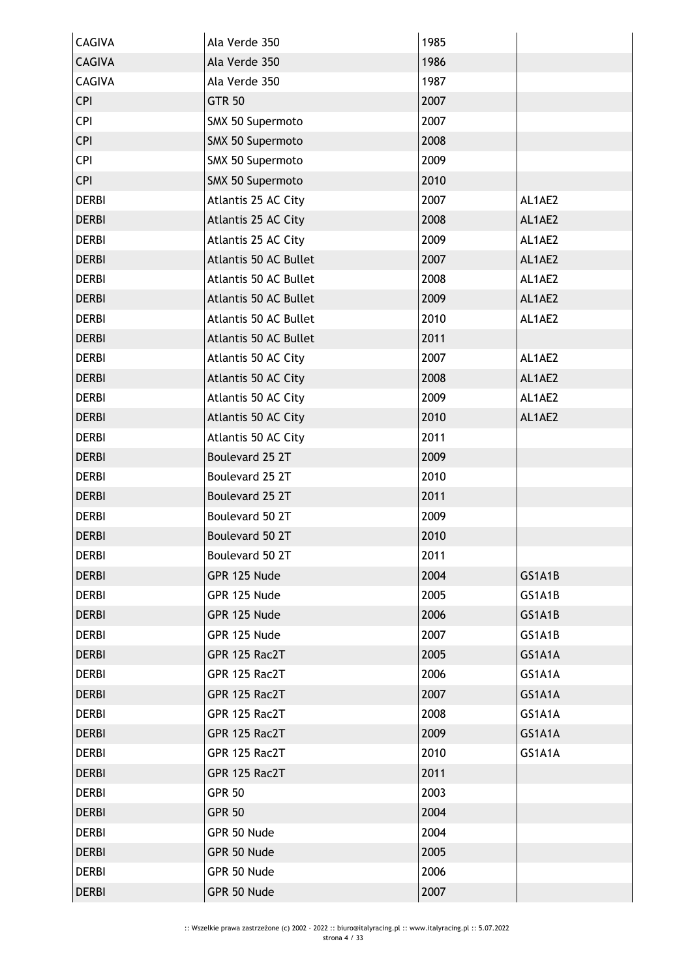| <b>CAGIVA</b> | Ala Verde 350         | 1985 |        |
|---------------|-----------------------|------|--------|
| <b>CAGIVA</b> | Ala Verde 350         | 1986 |        |
| <b>CAGIVA</b> | Ala Verde 350         | 1987 |        |
| <b>CPI</b>    | <b>GTR 50</b>         | 2007 |        |
| <b>CPI</b>    | SMX 50 Supermoto      | 2007 |        |
| <b>CPI</b>    | SMX 50 Supermoto      | 2008 |        |
| <b>CPI</b>    | SMX 50 Supermoto      | 2009 |        |
| <b>CPI</b>    | SMX 50 Supermoto      | 2010 |        |
| <b>DERBI</b>  | Atlantis 25 AC City   | 2007 | AL1AE2 |
| <b>DERBI</b>  | Atlantis 25 AC City   | 2008 | AL1AE2 |
| <b>DERBI</b>  | Atlantis 25 AC City   | 2009 | AL1AE2 |
| <b>DERBI</b>  | Atlantis 50 AC Bullet | 2007 | AL1AE2 |
| <b>DERBI</b>  | Atlantis 50 AC Bullet | 2008 | AL1AE2 |
| <b>DERBI</b>  | Atlantis 50 AC Bullet | 2009 | AL1AE2 |
| <b>DERBI</b>  | Atlantis 50 AC Bullet | 2010 | AL1AE2 |
| <b>DERBI</b>  | Atlantis 50 AC Bullet | 2011 |        |
| <b>DERBI</b>  | Atlantis 50 AC City   | 2007 | AL1AE2 |
| <b>DERBI</b>  | Atlantis 50 AC City   | 2008 | AL1AE2 |
| <b>DERBI</b>  | Atlantis 50 AC City   | 2009 | AL1AE2 |
| <b>DERBI</b>  | Atlantis 50 AC City   | 2010 | AL1AE2 |
| <b>DERBI</b>  | Atlantis 50 AC City   | 2011 |        |
| <b>DERBI</b>  | Boulevard 25 2T       | 2009 |        |
| <b>DERBI</b>  | Boulevard 25 2T       | 2010 |        |
| <b>DERBI</b>  | Boulevard 25 2T       | 2011 |        |
| <b>DERBI</b>  | Boulevard 50 2T       | 2009 |        |
| <b>DERBI</b>  | Boulevard 50 2T       | 2010 |        |
| <b>DERBI</b>  | Boulevard 50 2T       | 2011 |        |
| <b>DERBI</b>  | GPR 125 Nude          | 2004 | GS1A1B |
| <b>DERBI</b>  | GPR 125 Nude          | 2005 | GS1A1B |
| <b>DERBI</b>  | GPR 125 Nude          | 2006 | GS1A1B |
| <b>DERBI</b>  | GPR 125 Nude          | 2007 | GS1A1B |
| <b>DERBI</b>  | GPR 125 Rac2T         | 2005 | GS1A1A |
| <b>DERBI</b>  | GPR 125 Rac2T         | 2006 | GS1A1A |
| <b>DERBI</b>  | GPR 125 Rac2T         | 2007 | GS1A1A |
| <b>DERBI</b>  | GPR 125 Rac2T         | 2008 | GS1A1A |
| <b>DERBI</b>  | GPR 125 Rac2T         | 2009 | GS1A1A |
| <b>DERBI</b>  | GPR 125 Rac2T         | 2010 | GS1A1A |
| <b>DERBI</b>  | GPR 125 Rac2T         | 2011 |        |
| <b>DERBI</b>  | <b>GPR 50</b>         | 2003 |        |
| <b>DERBI</b>  | <b>GPR 50</b>         | 2004 |        |
| <b>DERBI</b>  | GPR 50 Nude           | 2004 |        |
| <b>DERBI</b>  | GPR 50 Nude           | 2005 |        |
| <b>DERBI</b>  | GPR 50 Nude           | 2006 |        |
| <b>DERBI</b>  | GPR 50 Nude           | 2007 |        |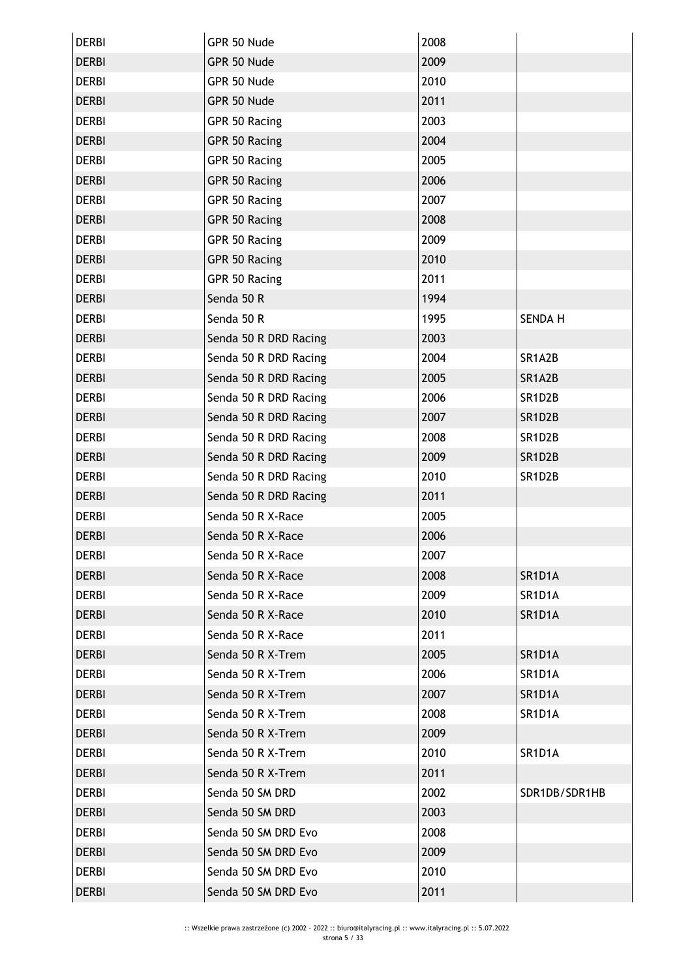| <b>DERBI</b> | GPR 50 Nude           | 2008 |                |
|--------------|-----------------------|------|----------------|
| <b>DERBI</b> | GPR 50 Nude           | 2009 |                |
| <b>DERBI</b> | GPR 50 Nude           | 2010 |                |
| <b>DERBI</b> | GPR 50 Nude           | 2011 |                |
| <b>DERBI</b> | GPR 50 Racing         | 2003 |                |
| <b>DERBI</b> | GPR 50 Racing         | 2004 |                |
| <b>DERBI</b> | GPR 50 Racing         | 2005 |                |
| <b>DERBI</b> | GPR 50 Racing         | 2006 |                |
| <b>DERBI</b> | GPR 50 Racing         | 2007 |                |
| <b>DERBI</b> | GPR 50 Racing         | 2008 |                |
| <b>DERBI</b> | GPR 50 Racing         | 2009 |                |
| <b>DERBI</b> | GPR 50 Racing         | 2010 |                |
| <b>DERBI</b> | GPR 50 Racing         | 2011 |                |
| <b>DERBI</b> | Senda 50 R            | 1994 |                |
| <b>DERBI</b> | Senda 50 R            | 1995 | <b>SENDA H</b> |
| <b>DERBI</b> | Senda 50 R DRD Racing | 2003 |                |
| <b>DERBI</b> | Senda 50 R DRD Racing | 2004 | SR1A2B         |
| <b>DERBI</b> | Senda 50 R DRD Racing | 2005 | SR1A2B         |
| <b>DERBI</b> | Senda 50 R DRD Racing | 2006 | SR1D2B         |
| <b>DERBI</b> | Senda 50 R DRD Racing | 2007 | SR1D2B         |
| <b>DERBI</b> | Senda 50 R DRD Racing | 2008 | SR1D2B         |
| <b>DERBI</b> | Senda 50 R DRD Racing | 2009 | SR1D2B         |
| <b>DERBI</b> | Senda 50 R DRD Racing | 2010 | SR1D2B         |
| <b>DERBI</b> | Senda 50 R DRD Racing | 2011 |                |
| <b>DERBI</b> | Senda 50 R X-Race     | 2005 |                |
| <b>DERBI</b> | Senda 50 R X-Race     | 2006 |                |
| DERBI        | Senda 50 R X-Race     | 2007 |                |
| <b>DERBI</b> | Senda 50 R X-Race     | 2008 | SR1D1A         |
| <b>DERBI</b> | Senda 50 R X-Race     | 2009 | SR1D1A         |
| <b>DERBI</b> | Senda 50 R X-Race     | 2010 | SR1D1A         |
| <b>DERBI</b> | Senda 50 R X-Race     | 2011 |                |
| <b>DERBI</b> | Senda 50 R X-Trem     | 2005 | SR1D1A         |
| <b>DERBI</b> | Senda 50 R X-Trem     | 2006 | SR1D1A         |
| <b>DERBI</b> | Senda 50 R X-Trem     | 2007 | SR1D1A         |
| <b>DERBI</b> | Senda 50 R X-Trem     | 2008 | SR1D1A         |
| <b>DERBI</b> | Senda 50 R X-Trem     | 2009 |                |
| <b>DERBI</b> | Senda 50 R X-Trem     | 2010 | SR1D1A         |
| <b>DERBI</b> | Senda 50 R X-Trem     | 2011 |                |
| <b>DERBI</b> | Senda 50 SM DRD       | 2002 | SDR1DB/SDR1HB  |
| <b>DERBI</b> | Senda 50 SM DRD       | 2003 |                |
| <b>DERBI</b> | Senda 50 SM DRD Evo   | 2008 |                |
| <b>DERBI</b> | Senda 50 SM DRD Evo   | 2009 |                |
| <b>DERBI</b> | Senda 50 SM DRD Evo   | 2010 |                |
| <b>DERBI</b> | Senda 50 SM DRD Evo   | 2011 |                |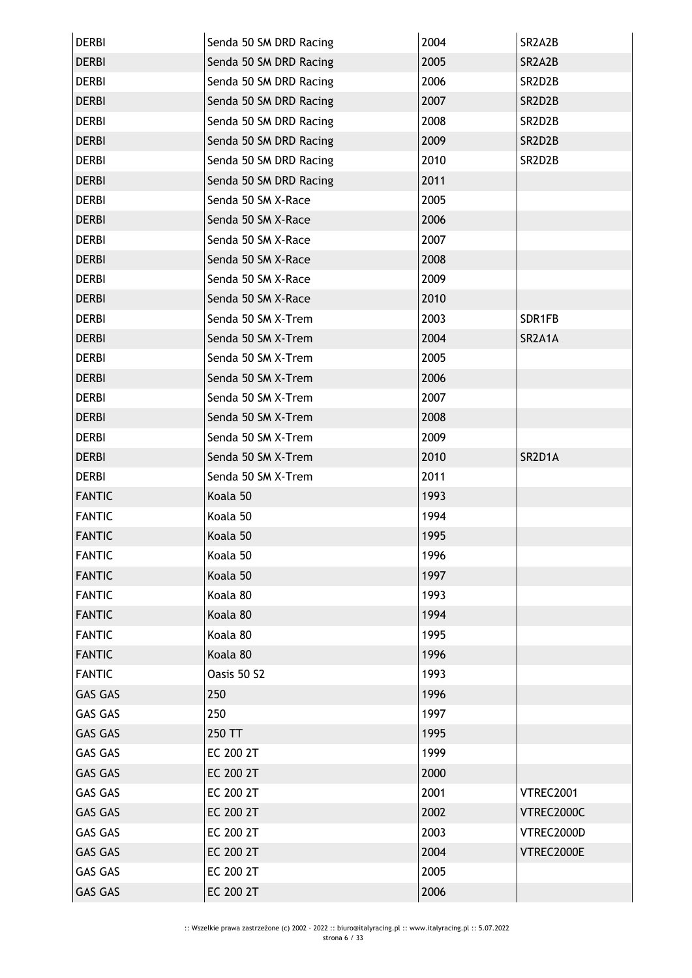| <b>DERBI</b>   | Senda 50 SM DRD Racing | 2004 | SR2A2B           |
|----------------|------------------------|------|------------------|
| <b>DERBI</b>   | Senda 50 SM DRD Racing | 2005 | SR2A2B           |
| <b>DERBI</b>   | Senda 50 SM DRD Racing | 2006 | SR2D2B           |
| <b>DERBI</b>   | Senda 50 SM DRD Racing | 2007 | SR2D2B           |
| <b>DERBI</b>   | Senda 50 SM DRD Racing | 2008 | SR2D2B           |
| <b>DERBI</b>   | Senda 50 SM DRD Racing | 2009 | SR2D2B           |
| <b>DERBI</b>   | Senda 50 SM DRD Racing | 2010 | SR2D2B           |
| <b>DERBI</b>   | Senda 50 SM DRD Racing | 2011 |                  |
| <b>DERBI</b>   | Senda 50 SM X-Race     | 2005 |                  |
| <b>DERBI</b>   | Senda 50 SM X-Race     | 2006 |                  |
| <b>DERBI</b>   | Senda 50 SM X-Race     | 2007 |                  |
| <b>DERBI</b>   | Senda 50 SM X-Race     | 2008 |                  |
| <b>DERBI</b>   | Senda 50 SM X-Race     | 2009 |                  |
| <b>DERBI</b>   | Senda 50 SM X-Race     | 2010 |                  |
| <b>DERBI</b>   | Senda 50 SM X-Trem     | 2003 | SDR1FB           |
| <b>DERBI</b>   | Senda 50 SM X-Trem     | 2004 | SR2A1A           |
| <b>DERBI</b>   | Senda 50 SM X-Trem     | 2005 |                  |
| <b>DERBI</b>   | Senda 50 SM X-Trem     | 2006 |                  |
| <b>DERBI</b>   | Senda 50 SM X-Trem     | 2007 |                  |
| <b>DERBI</b>   | Senda 50 SM X-Trem     | 2008 |                  |
| <b>DERBI</b>   | Senda 50 SM X-Trem     | 2009 |                  |
| <b>DERBI</b>   | Senda 50 SM X-Trem     | 2010 | SR2D1A           |
| <b>DERBI</b>   | Senda 50 SM X-Trem     | 2011 |                  |
| <b>FANTIC</b>  | Koala 50               | 1993 |                  |
| <b>FANTIC</b>  | Koala 50               | 1994 |                  |
| <b>FANTIC</b>  | Koala 50               | 1995 |                  |
| <b>FANTIC</b>  | Koala 50               | 1996 |                  |
| <b>FANTIC</b>  | Koala 50               | 1997 |                  |
| <b>FANTIC</b>  | Koala 80               | 1993 |                  |
| <b>FANTIC</b>  | Koala 80               | 1994 |                  |
| <b>FANTIC</b>  | Koala 80               | 1995 |                  |
| <b>FANTIC</b>  | Koala 80               | 1996 |                  |
| <b>FANTIC</b>  | Oasis 50 S2            | 1993 |                  |
| <b>GAS GAS</b> | 250                    | 1996 |                  |
| <b>GAS GAS</b> | 250                    | 1997 |                  |
| <b>GAS GAS</b> | 250 TT                 | 1995 |                  |
| <b>GAS GAS</b> | EC 200 2T              | 1999 |                  |
| <b>GAS GAS</b> | EC 200 2T              | 2000 |                  |
| <b>GAS GAS</b> | EC 200 2T              | 2001 | <b>VTREC2001</b> |
| <b>GAS GAS</b> | EC 200 2T              | 2002 | VTREC2000C       |
| <b>GAS GAS</b> | EC 200 2T              | 2003 | VTREC2000D       |
| <b>GAS GAS</b> | EC 200 2T              | 2004 | VTREC2000E       |
| <b>GAS GAS</b> | EC 200 2T              | 2005 |                  |
| <b>GAS GAS</b> | EC 200 2T              | 2006 |                  |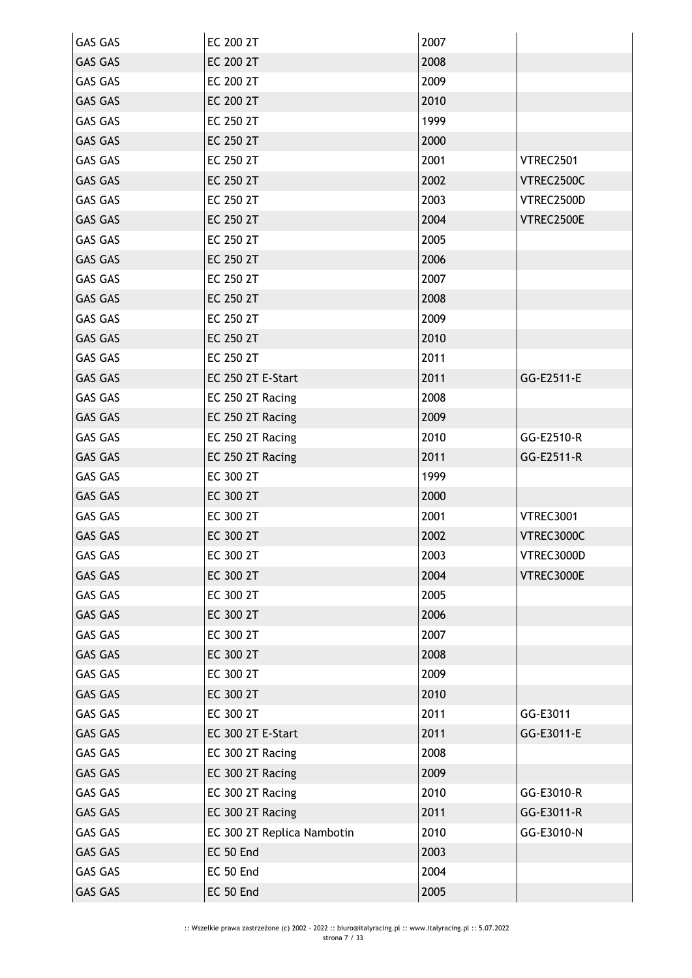| <b>GAS GAS</b> | EC 200 2T                  | 2007 |                  |
|----------------|----------------------------|------|------------------|
| <b>GAS GAS</b> | EC 200 2T                  | 2008 |                  |
| <b>GAS GAS</b> | EC 200 2T                  | 2009 |                  |
| <b>GAS GAS</b> | EC 200 2T                  | 2010 |                  |
| <b>GAS GAS</b> | EC 250 2T                  | 1999 |                  |
| <b>GAS GAS</b> | EC 250 2T                  | 2000 |                  |
| <b>GAS GAS</b> | EC 250 2T                  | 2001 | VTREC2501        |
| <b>GAS GAS</b> | EC 250 2T                  | 2002 | VTREC2500C       |
| <b>GAS GAS</b> | EC 250 2T                  | 2003 | VTREC2500D       |
| <b>GAS GAS</b> | EC 250 2T                  | 2004 | VTREC2500E       |
| <b>GAS GAS</b> | EC 250 2T                  | 2005 |                  |
| <b>GAS GAS</b> | EC 250 2T                  | 2006 |                  |
| <b>GAS GAS</b> | EC 250 2T                  | 2007 |                  |
| <b>GAS GAS</b> | EC 250 2T                  | 2008 |                  |
| <b>GAS GAS</b> | EC 250 2T                  | 2009 |                  |
| <b>GAS GAS</b> | EC 250 2T                  | 2010 |                  |
| <b>GAS GAS</b> | EC 250 2T                  | 2011 |                  |
| <b>GAS GAS</b> | EC 250 2T E-Start          | 2011 | GG-E2511-E       |
| <b>GAS GAS</b> | EC 250 2T Racing           | 2008 |                  |
| <b>GAS GAS</b> | EC 250 2T Racing           | 2009 |                  |
| <b>GAS GAS</b> | EC 250 2T Racing           | 2010 | GG-E2510-R       |
| <b>GAS GAS</b> | EC 250 2T Racing           | 2011 | GG-E2511-R       |
| <b>GAS GAS</b> | EC 300 2T                  | 1999 |                  |
| <b>GAS GAS</b> | EC 300 2T                  | 2000 |                  |
| <b>GAS GAS</b> | EC 300 2T                  | 2001 | <b>VTREC3001</b> |
| <b>GAS GAS</b> | EC 300 2T                  | 2002 | VTREC3000C       |
| GAS GAS        | EC 300 2T                  | 2003 | VTREC3000D       |
| <b>GAS GAS</b> | EC 300 2T                  | 2004 | VTREC3000E       |
| <b>GAS GAS</b> | EC 300 2T                  | 2005 |                  |
| <b>GAS GAS</b> | EC 300 2T                  | 2006 |                  |
| <b>GAS GAS</b> | EC 300 2T                  | 2007 |                  |
| <b>GAS GAS</b> | EC 300 2T                  | 2008 |                  |
| <b>GAS GAS</b> | EC 300 2T                  | 2009 |                  |
| <b>GAS GAS</b> | EC 300 2T                  | 2010 |                  |
| <b>GAS GAS</b> | EC 300 2T                  | 2011 | GG-E3011         |
| <b>GAS GAS</b> | EC 300 2T E-Start          | 2011 | GG-E3011-E       |
| <b>GAS GAS</b> | EC 300 2T Racing           | 2008 |                  |
| <b>GAS GAS</b> | EC 300 2T Racing           | 2009 |                  |
| <b>GAS GAS</b> | EC 300 2T Racing           | 2010 | GG-E3010-R       |
| <b>GAS GAS</b> | EC 300 2T Racing           | 2011 | GG-E3011-R       |
| GAS GAS        | EC 300 2T Replica Nambotin | 2010 | GG-E3010-N       |
| <b>GAS GAS</b> | EC 50 End                  | 2003 |                  |
| GAS GAS        | EC 50 End                  | 2004 |                  |
| <b>GAS GAS</b> | EC 50 End                  | 2005 |                  |
|                |                            |      |                  |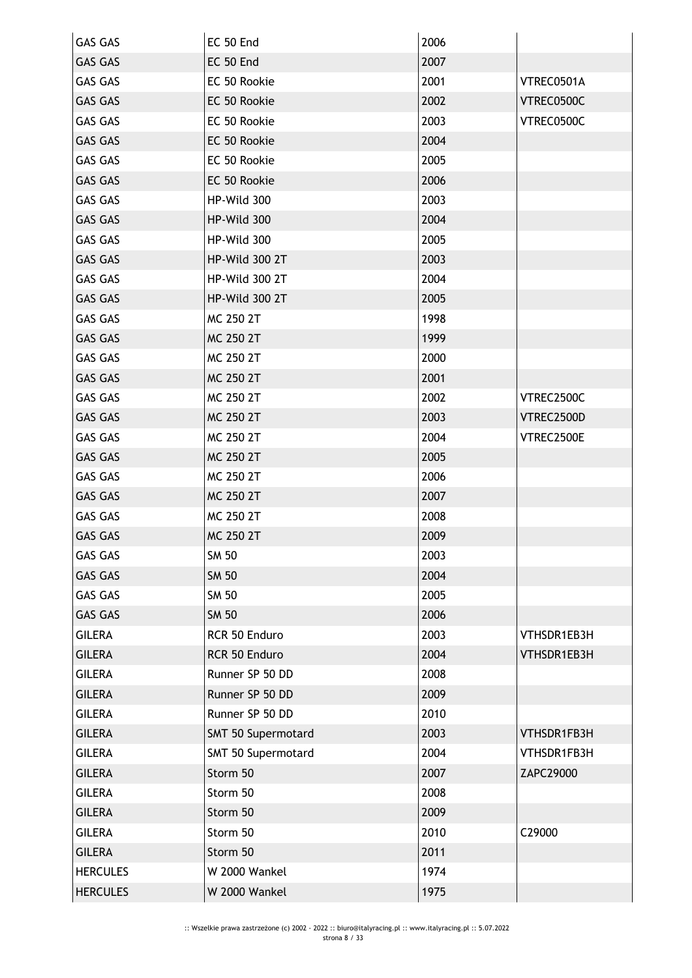| <b>GAS GAS</b>  | EC 50 End          | 2006 |             |
|-----------------|--------------------|------|-------------|
| <b>GAS GAS</b>  | EC 50 End          | 2007 |             |
| <b>GAS GAS</b>  | EC 50 Rookie       | 2001 | VTREC0501A  |
| <b>GAS GAS</b>  | EC 50 Rookie       | 2002 | VTREC0500C  |
| <b>GAS GAS</b>  | EC 50 Rookie       | 2003 | VTREC0500C  |
| <b>GAS GAS</b>  | EC 50 Rookie       | 2004 |             |
| <b>GAS GAS</b>  | EC 50 Rookie       | 2005 |             |
| <b>GAS GAS</b>  | EC 50 Rookie       | 2006 |             |
| <b>GAS GAS</b>  | HP-Wild 300        | 2003 |             |
| <b>GAS GAS</b>  | HP-Wild 300        | 2004 |             |
| <b>GAS GAS</b>  | HP-Wild 300        | 2005 |             |
| <b>GAS GAS</b>  | HP-Wild 300 2T     | 2003 |             |
| <b>GAS GAS</b>  | HP-Wild 300 2T     | 2004 |             |
| <b>GAS GAS</b>  | HP-Wild 300 2T     | 2005 |             |
| <b>GAS GAS</b>  | MC 250 2T          | 1998 |             |
| <b>GAS GAS</b>  | MC 250 2T          | 1999 |             |
| <b>GAS GAS</b>  | MC 250 2T          | 2000 |             |
| <b>GAS GAS</b>  | MC 250 2T          | 2001 |             |
| <b>GAS GAS</b>  | MC 250 2T          | 2002 | VTREC2500C  |
| <b>GAS GAS</b>  | MC 250 2T          | 2003 | VTREC2500D  |
| <b>GAS GAS</b>  | MC 250 2T          | 2004 | VTREC2500E  |
| <b>GAS GAS</b>  | MC 250 2T          | 2005 |             |
| GAS GAS         | MC 250 2T          | 2006 |             |
| <b>GAS GAS</b>  | MC 250 2T          | 2007 |             |
| <b>GAS GAS</b>  | MC 250 2T          | 2008 |             |
| <b>GAS GAS</b>  | MC 250 2T          | 2009 |             |
| <b>GAS GAS</b>  | <b>SM 50</b>       | 2003 |             |
| <b>GAS GAS</b>  | <b>SM 50</b>       | 2004 |             |
| <b>GAS GAS</b>  | <b>SM 50</b>       | 2005 |             |
| <b>GAS GAS</b>  | <b>SM 50</b>       | 2006 |             |
| <b>GILERA</b>   | RCR 50 Enduro      | 2003 | VTHSDR1EB3H |
| <b>GILERA</b>   | RCR 50 Enduro      | 2004 | VTHSDR1EB3H |
| <b>GILERA</b>   | Runner SP 50 DD    | 2008 |             |
| <b>GILERA</b>   | Runner SP 50 DD    | 2009 |             |
| <b>GILERA</b>   | Runner SP 50 DD    | 2010 |             |
| <b>GILERA</b>   | SMT 50 Supermotard | 2003 | VTHSDR1FB3H |
| <b>GILERA</b>   | SMT 50 Supermotard | 2004 | VTHSDR1FB3H |
| <b>GILERA</b>   | Storm 50           | 2007 | ZAPC29000   |
| <b>GILERA</b>   | Storm 50           | 2008 |             |
| <b>GILERA</b>   | Storm 50           | 2009 |             |
| <b>GILERA</b>   | Storm 50           | 2010 | C29000      |
| <b>GILERA</b>   | Storm 50           | 2011 |             |
| <b>HERCULES</b> | W 2000 Wankel      | 1974 |             |
| <b>HERCULES</b> | W 2000 Wankel      | 1975 |             |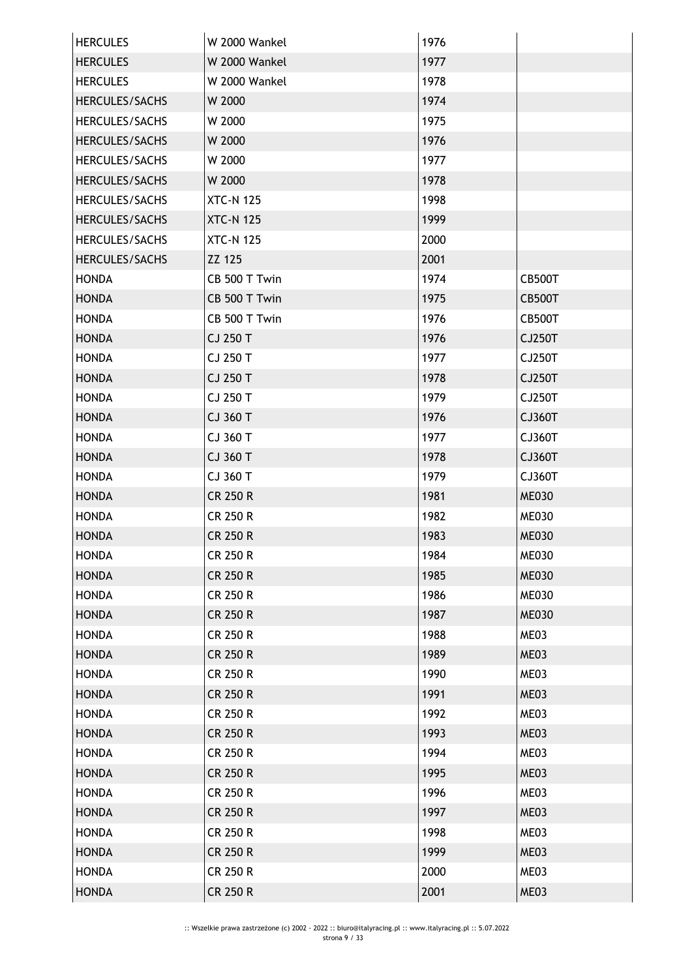| <b>HERCULES</b> | W 2000 Wankel    | 1976 |               |
|-----------------|------------------|------|---------------|
| <b>HERCULES</b> | W 2000 Wankel    | 1977 |               |
| <b>HERCULES</b> | W 2000 Wankel    | 1978 |               |
| HERCULES/SACHS  | W 2000           | 1974 |               |
| HERCULES/SACHS  | W 2000           | 1975 |               |
| HERCULES/SACHS  | W 2000           | 1976 |               |
| HERCULES/SACHS  | W 2000           | 1977 |               |
| HERCULES/SACHS  | W 2000           | 1978 |               |
| HERCULES/SACHS  | <b>XTC-N 125</b> | 1998 |               |
| HERCULES/SACHS  | <b>XTC-N 125</b> | 1999 |               |
| HERCULES/SACHS  | <b>XTC-N 125</b> | 2000 |               |
| HERCULES/SACHS  | ZZ 125           | 2001 |               |
| <b>HONDA</b>    | CB 500 T Twin    | 1974 | <b>CB500T</b> |
| <b>HONDA</b>    | CB 500 T Twin    | 1975 | <b>CB500T</b> |
| <b>HONDA</b>    | CB 500 T Twin    | 1976 | <b>CB500T</b> |
| <b>HONDA</b>    | CJ 250 T         | 1976 | <b>CJ250T</b> |
| <b>HONDA</b>    | CJ 250 T         | 1977 | CJ250T        |
| <b>HONDA</b>    | CJ 250 T         | 1978 | CJ250T        |
| <b>HONDA</b>    | CJ 250 T         | 1979 | CJ250T        |
| <b>HONDA</b>    | CJ 360 T         | 1976 | CJ360T        |
| <b>HONDA</b>    | CJ 360 T         | 1977 | CJ360T        |
| <b>HONDA</b>    | CJ 360 T         | 1978 | CJ360T        |
| <b>HONDA</b>    | CJ 360 T         | 1979 | CJ360T        |
| <b>HONDA</b>    | CR 250 R         | 1981 | <b>ME030</b>  |
| <b>HONDA</b>    | <b>CR 250 R</b>  | 1982 | <b>ME030</b>  |
| <b>HONDA</b>    | <b>CR 250 R</b>  | 1983 | <b>ME030</b>  |
| <b>HONDA</b>    | CR 250 R         | 1984 | <b>ME030</b>  |
| <b>HONDA</b>    | <b>CR 250 R</b>  | 1985 | <b>ME030</b>  |
| <b>HONDA</b>    | <b>CR 250 R</b>  | 1986 | <b>ME030</b>  |
| <b>HONDA</b>    | <b>CR 250 R</b>  | 1987 | <b>ME030</b>  |
| <b>HONDA</b>    | <b>CR 250 R</b>  | 1988 | ME03          |
| <b>HONDA</b>    | <b>CR 250 R</b>  | 1989 | ME03          |
| <b>HONDA</b>    | <b>CR 250 R</b>  | 1990 | ME03          |
| <b>HONDA</b>    | <b>CR 250 R</b>  | 1991 | ME03          |
| <b>HONDA</b>    | <b>CR 250 R</b>  | 1992 | ME03          |
| <b>HONDA</b>    | <b>CR 250 R</b>  | 1993 | ME03          |
| <b>HONDA</b>    | <b>CR 250 R</b>  | 1994 | ME03          |
| <b>HONDA</b>    | <b>CR 250 R</b>  | 1995 | ME03          |
| <b>HONDA</b>    | <b>CR 250 R</b>  | 1996 | ME03          |
| <b>HONDA</b>    | <b>CR 250 R</b>  | 1997 | ME03          |
| <b>HONDA</b>    | <b>CR 250 R</b>  | 1998 | ME03          |
| <b>HONDA</b>    | <b>CR 250 R</b>  | 1999 | ME03          |
| <b>HONDA</b>    | <b>CR 250 R</b>  | 2000 | ME03          |
| <b>HONDA</b>    | <b>CR 250 R</b>  | 2001 | ME03          |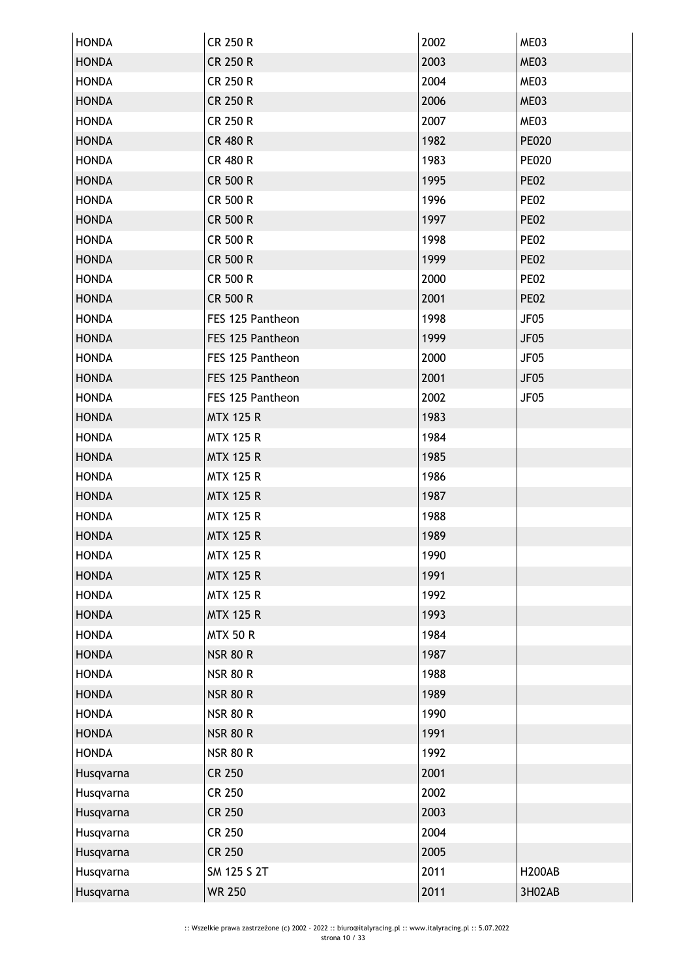| <b>HONDA</b> | <b>CR 250 R</b>  | 2002 | ME03             |
|--------------|------------------|------|------------------|
| <b>HONDA</b> | <b>CR 250 R</b>  | 2003 | ME03             |
| <b>HONDA</b> | <b>CR 250 R</b>  | 2004 | ME03             |
| <b>HONDA</b> | <b>CR 250 R</b>  | 2006 | ME03             |
| <b>HONDA</b> | <b>CR 250 R</b>  | 2007 | ME03             |
| <b>HONDA</b> | <b>CR 480 R</b>  | 1982 | <b>PE020</b>     |
| <b>HONDA</b> | <b>CR 480 R</b>  | 1983 | <b>PE020</b>     |
| <b>HONDA</b> | <b>CR 500 R</b>  | 1995 | <b>PE02</b>      |
| <b>HONDA</b> | <b>CR 500 R</b>  | 1996 | <b>PE02</b>      |
| <b>HONDA</b> | <b>CR 500 R</b>  | 1997 | <b>PE02</b>      |
| <b>HONDA</b> | <b>CR 500 R</b>  | 1998 | <b>PE02</b>      |
| <b>HONDA</b> | CR 500 R         | 1999 | <b>PE02</b>      |
| <b>HONDA</b> | <b>CR 500 R</b>  | 2000 | <b>PE02</b>      |
| <b>HONDA</b> | <b>CR 500 R</b>  | 2001 | <b>PE02</b>      |
| <b>HONDA</b> | FES 125 Pantheon | 1998 | JF05             |
| <b>HONDA</b> | FES 125 Pantheon | 1999 | <b>JF05</b>      |
| <b>HONDA</b> | FES 125 Pantheon | 2000 | JF05             |
| <b>HONDA</b> | FES 125 Pantheon | 2001 | <b>JF05</b>      |
| <b>HONDA</b> | FES 125 Pantheon | 2002 | JF <sub>05</sub> |
| <b>HONDA</b> | <b>MTX 125 R</b> | 1983 |                  |
| <b>HONDA</b> | <b>MTX 125 R</b> | 1984 |                  |
| <b>HONDA</b> | <b>MTX 125 R</b> | 1985 |                  |
| <b>HONDA</b> | <b>MTX 125 R</b> | 1986 |                  |
| <b>HONDA</b> | <b>MTX 125 R</b> | 1987 |                  |
| <b>HONDA</b> | <b>MTX 125 R</b> | 1988 |                  |
| <b>HONDA</b> | <b>MTX 125 R</b> | 1989 |                  |
| <b>HONDA</b> | <b>MTX 125 R</b> | 1990 |                  |
| <b>HONDA</b> | <b>MTX 125 R</b> | 1991 |                  |
| <b>HONDA</b> | <b>MTX 125 R</b> | 1992 |                  |
| <b>HONDA</b> | <b>MTX 125 R</b> | 1993 |                  |
| <b>HONDA</b> | <b>MTX 50 R</b>  | 1984 |                  |
| <b>HONDA</b> | <b>NSR 80 R</b>  | 1987 |                  |
| <b>HONDA</b> | <b>NSR 80 R</b>  | 1988 |                  |
| <b>HONDA</b> | <b>NSR 80 R</b>  | 1989 |                  |
| <b>HONDA</b> | <b>NSR 80 R</b>  | 1990 |                  |
| <b>HONDA</b> | <b>NSR 80 R</b>  | 1991 |                  |
| <b>HONDA</b> | <b>NSR 80 R</b>  | 1992 |                  |
| Husqvarna    | <b>CR 250</b>    | 2001 |                  |
| Husqvarna    | <b>CR 250</b>    | 2002 |                  |
| Husqvarna    | <b>CR 250</b>    | 2003 |                  |
| Husqvarna    | <b>CR 250</b>    | 2004 |                  |
| Husqvarna    | <b>CR 250</b>    | 2005 |                  |
| Husqvarna    | SM 125 S 2T      | 2011 | <b>H200AB</b>    |
| Husqvarna    | <b>WR 250</b>    | 2011 | 3H02AB           |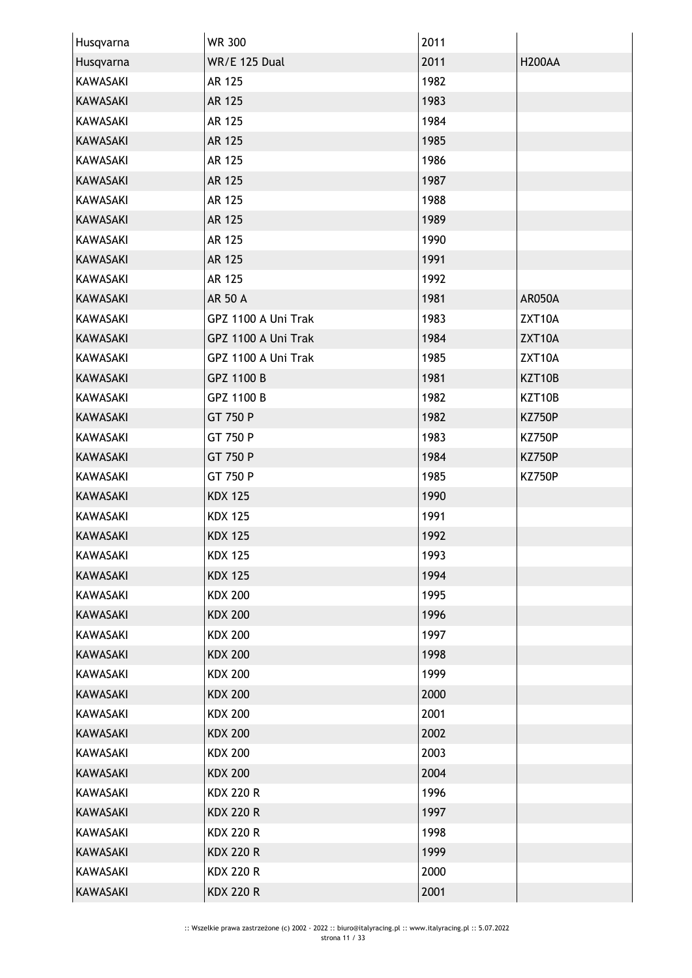| Husqvarna       | <b>WR 300</b>        | 2011 |               |
|-----------------|----------------------|------|---------------|
| Husqvarna       | <b>WR/E 125 Dual</b> | 2011 | <b>H200AA</b> |
| KAWASAKI        | AR 125               | 1982 |               |
| <b>KAWASAKI</b> | AR 125               | 1983 |               |
| <b>KAWASAKI</b> | AR 125               | 1984 |               |
| <b>KAWASAKI</b> | AR 125               | 1985 |               |
| <b>KAWASAKI</b> | <b>AR 125</b>        | 1986 |               |
| <b>KAWASAKI</b> | AR 125               | 1987 |               |
| <b>KAWASAKI</b> | AR 125               | 1988 |               |
| <b>KAWASAKI</b> | AR 125               | 1989 |               |
| <b>KAWASAKI</b> | AR 125               | 1990 |               |
| <b>KAWASAKI</b> | AR 125               | 1991 |               |
| KAWASAKI        | AR 125               | 1992 |               |
| <b>KAWASAKI</b> | AR 50 A              | 1981 | AR050A        |
| KAWASAKI        | GPZ 1100 A Uni Trak  | 1983 | ZXT10A        |
| <b>KAWASAKI</b> | GPZ 1100 A Uni Trak  | 1984 | ZXT10A        |
| KAWASAKI        | GPZ 1100 A Uni Trak  | 1985 | ZXT10A        |
| <b>KAWASAKI</b> | GPZ 1100 B           | 1981 | KZT10B        |
| KAWASAKI        | GPZ 1100 B           | 1982 | KZT10B        |
| <b>KAWASAKI</b> | GT 750 P             | 1982 | <b>KZ750P</b> |
| <b>KAWASAKI</b> | GT 750 P             | 1983 | <b>KZ750P</b> |
| <b>KAWASAKI</b> | GT 750 P             | 1984 | <b>KZ750P</b> |
| <b>KAWASAKI</b> | GT 750 P             | 1985 | <b>KZ750P</b> |
| <b>KAWASAKI</b> | <b>KDX 125</b>       | 1990 |               |
| KAWASAKI        | <b>KDX 125</b>       | 1991 |               |
| <b>KAWASAKI</b> | <b>KDX 125</b>       | 1992 |               |
| KAWASAKI        | <b>KDX 125</b>       | 1993 |               |
| <b>KAWASAKI</b> | <b>KDX 125</b>       | 1994 |               |
| KAWASAKI        | <b>KDX 200</b>       | 1995 |               |
| <b>KAWASAKI</b> | <b>KDX 200</b>       | 1996 |               |
| KAWASAKI        | <b>KDX 200</b>       | 1997 |               |
| <b>KAWASAKI</b> | <b>KDX 200</b>       | 1998 |               |
| KAWASAKI        | <b>KDX 200</b>       | 1999 |               |
| <b>KAWASAKI</b> | <b>KDX 200</b>       | 2000 |               |
| KAWASAKI        | <b>KDX 200</b>       | 2001 |               |
| <b>KAWASAKI</b> | <b>KDX 200</b>       | 2002 |               |
| KAWASAKI        | <b>KDX 200</b>       | 2003 |               |
| <b>KAWASAKI</b> | <b>KDX 200</b>       | 2004 |               |
| KAWASAKI        | <b>KDX 220 R</b>     | 1996 |               |
| <b>KAWASAKI</b> | <b>KDX 220 R</b>     | 1997 |               |
| <b>KAWASAKI</b> | <b>KDX 220 R</b>     | 1998 |               |
| <b>KAWASAKI</b> | <b>KDX 220 R</b>     | 1999 |               |
| KAWASAKI        | <b>KDX 220 R</b>     | 2000 |               |
| <b>KAWASAKI</b> | <b>KDX 220 R</b>     | 2001 |               |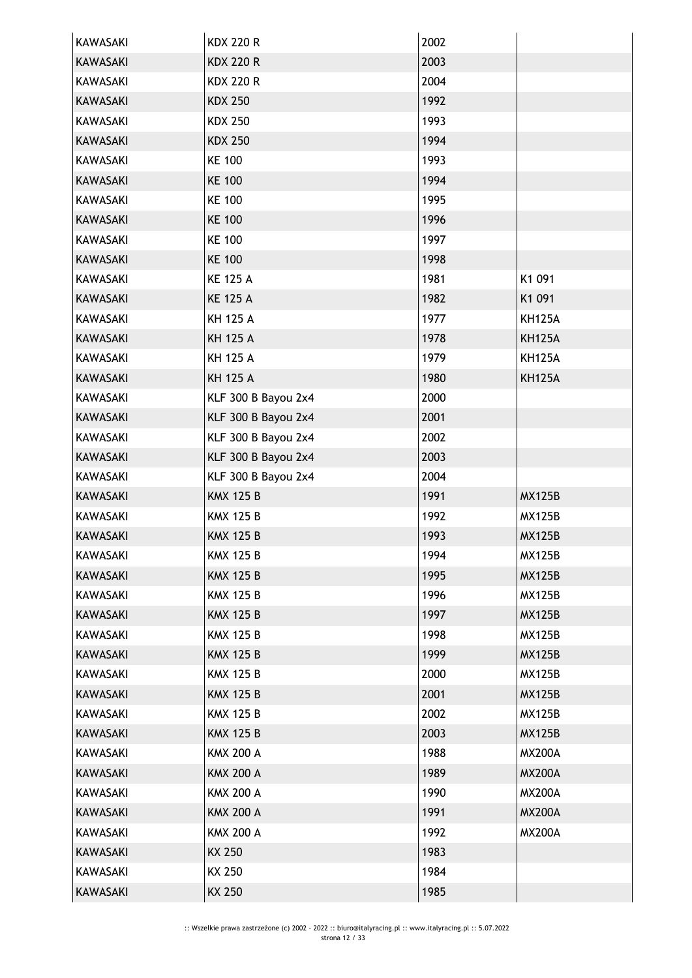| <b>KAWASAKI</b> | <b>KDX 220 R</b>    | 2002 |               |
|-----------------|---------------------|------|---------------|
| <b>KAWASAKI</b> | <b>KDX 220 R</b>    | 2003 |               |
| KAWASAKI        | <b>KDX 220 R</b>    | 2004 |               |
| <b>KAWASAKI</b> | <b>KDX 250</b>      | 1992 |               |
| <b>KAWASAKI</b> | <b>KDX 250</b>      | 1993 |               |
| <b>KAWASAKI</b> | <b>KDX 250</b>      | 1994 |               |
| <b>KAWASAKI</b> | <b>KE 100</b>       | 1993 |               |
| <b>KAWASAKI</b> | <b>KE 100</b>       | 1994 |               |
| <b>KAWASAKI</b> | <b>KE 100</b>       | 1995 |               |
| <b>KAWASAKI</b> | <b>KE 100</b>       | 1996 |               |
| <b>KAWASAKI</b> | <b>KE 100</b>       | 1997 |               |
| <b>KAWASAKI</b> | <b>KE 100</b>       | 1998 |               |
| <b>KAWASAKI</b> | <b>KE 125 A</b>     | 1981 | K1 091        |
| <b>KAWASAKI</b> | <b>KE 125 A</b>     | 1982 | K1 091        |
| KAWASAKI        | <b>KH 125 A</b>     | 1977 | <b>KH125A</b> |
| <b>KAWASAKI</b> | <b>KH 125 A</b>     | 1978 | <b>KH125A</b> |
| <b>KAWASAKI</b> | <b>KH 125 A</b>     | 1979 | <b>KH125A</b> |
| <b>KAWASAKI</b> | <b>KH 125 A</b>     | 1980 | <b>KH125A</b> |
| <b>KAWASAKI</b> | KLF 300 B Bayou 2x4 | 2000 |               |
| <b>KAWASAKI</b> | KLF 300 B Bayou 2x4 | 2001 |               |
| <b>KAWASAKI</b> | KLF 300 B Bayou 2x4 | 2002 |               |
| <b>KAWASAKI</b> | KLF 300 B Bayou 2x4 | 2003 |               |
| <b>KAWASAKI</b> | KLF 300 B Bayou 2x4 | 2004 |               |
| <b>KAWASAKI</b> | <b>KMX 125 B</b>    | 1991 | <b>MX125B</b> |
| <b>KAWASAKI</b> | <b>KMX 125 B</b>    | 1992 | <b>MX125B</b> |
| <b>KAWASAKI</b> | <b>KMX 125 B</b>    | 1993 | <b>MX125B</b> |
| <b>KAWASAKI</b> | <b>KMX 125 B</b>    | 1994 | <b>MX125B</b> |
| <b>KAWASAKI</b> | <b>KMX 125 B</b>    | 1995 | <b>MX125B</b> |
| <b>KAWASAKI</b> | <b>KMX 125 B</b>    | 1996 | <b>MX125B</b> |
| KAWASAKI        | <b>KMX 125 B</b>    | 1997 | <b>MX125B</b> |
| KAWASAKI        | <b>KMX 125 B</b>    | 1998 | <b>MX125B</b> |
| <b>KAWASAKI</b> | <b>KMX 125 B</b>    | 1999 | <b>MX125B</b> |
| KAWASAKI        | <b>KMX 125 B</b>    | 2000 | <b>MX125B</b> |
| <b>KAWASAKI</b> | <b>KMX 125 B</b>    | 2001 | <b>MX125B</b> |
| KAWASAKI        | <b>KMX 125 B</b>    | 2002 | <b>MX125B</b> |
| <b>KAWASAKI</b> | <b>KMX 125 B</b>    | 2003 | <b>MX125B</b> |
| KAWASAKI        | <b>KMX 200 A</b>    | 1988 | <b>MX200A</b> |
| KAWASAKI        | <b>KMX 200 A</b>    | 1989 | <b>MX200A</b> |
| KAWASAKI        | <b>KMX 200 A</b>    | 1990 | <b>MX200A</b> |
| KAWASAKI        | <b>KMX 200 A</b>    | 1991 | <b>MX200A</b> |
| KAWASAKI        | <b>KMX 200 A</b>    | 1992 | <b>MX200A</b> |
| <b>KAWASAKI</b> | <b>KX 250</b>       | 1983 |               |
| KAWASAKI        | KX 250              | 1984 |               |
| <b>KAWASAKI</b> | KX 250              | 1985 |               |
|                 |                     |      |               |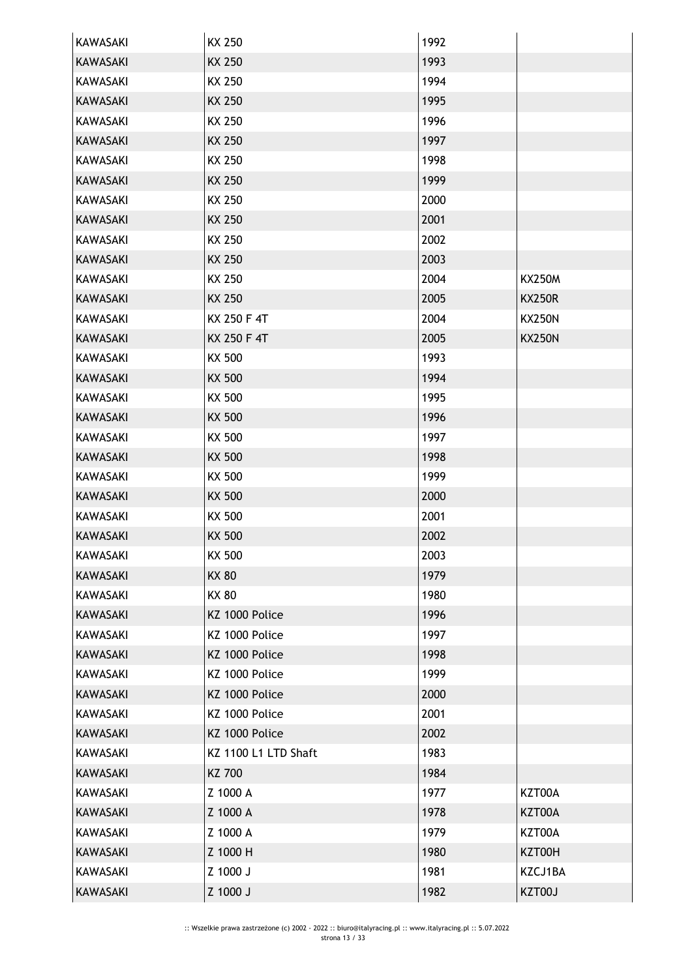| <b>KAWASAKI</b> | KX 250               | 1992 |               |
|-----------------|----------------------|------|---------------|
| <b>KAWASAKI</b> | KX 250               | 1993 |               |
| <b>KAWASAKI</b> | KX 250               | 1994 |               |
| <b>KAWASAKI</b> | <b>KX 250</b>        | 1995 |               |
| KAWASAKI        | KX 250               | 1996 |               |
| <b>KAWASAKI</b> | <b>KX 250</b>        | 1997 |               |
| <b>KAWASAKI</b> | KX 250               | 1998 |               |
| <b>KAWASAKI</b> | <b>KX 250</b>        | 1999 |               |
| <b>KAWASAKI</b> | KX 250               | 2000 |               |
| <b>KAWASAKI</b> | <b>KX 250</b>        | 2001 |               |
| <b>KAWASAKI</b> | KX 250               | 2002 |               |
| <b>KAWASAKI</b> | <b>KX 250</b>        | 2003 |               |
| <b>KAWASAKI</b> | KX 250               | 2004 | <b>KX250M</b> |
| <b>KAWASAKI</b> | <b>KX 250</b>        | 2005 | <b>KX250R</b> |
| <b>KAWASAKI</b> | KX 250 F 4T          | 2004 | <b>KX250N</b> |
| <b>KAWASAKI</b> | KX 250 F 4T          | 2005 | <b>KX250N</b> |
| <b>KAWASAKI</b> | KX 500               | 1993 |               |
| <b>KAWASAKI</b> | <b>KX 500</b>        | 1994 |               |
| <b>KAWASAKI</b> | KX 500               | 1995 |               |
| <b>KAWASAKI</b> | KX 500               | 1996 |               |
| <b>KAWASAKI</b> | KX 500               | 1997 |               |
| <b>KAWASAKI</b> | <b>KX 500</b>        | 1998 |               |
| <b>KAWASAKI</b> | KX 500               | 1999 |               |
| <b>KAWASAKI</b> | <b>KX 500</b>        | 2000 |               |
| <b>KAWASAKI</b> | KX 500               | 2001 |               |
| <b>KAWASAKI</b> | <b>KX 500</b>        | 2002 |               |
| KAWASAKI        | KX 500               | 2003 |               |
| <b>KAWASAKI</b> | <b>KX 80</b>         | 1979 |               |
| <b>KAWASAKI</b> | <b>KX 80</b>         | 1980 |               |
| <b>KAWASAKI</b> | KZ 1000 Police       | 1996 |               |
| <b>KAWASAKI</b> | KZ 1000 Police       | 1997 |               |
| <b>KAWASAKI</b> | KZ 1000 Police       | 1998 |               |
| KAWASAKI        | KZ 1000 Police       | 1999 |               |
| <b>KAWASAKI</b> | KZ 1000 Police       | 2000 |               |
| KAWASAKI        | KZ 1000 Police       | 2001 |               |
| <b>KAWASAKI</b> | KZ 1000 Police       | 2002 |               |
| KAWASAKI        | KZ 1100 L1 LTD Shaft | 1983 |               |
| <b>KAWASAKI</b> | KZ 700               | 1984 |               |
| <b>KAWASAKI</b> | Z 1000 A             | 1977 | KZT00A        |
| <b>KAWASAKI</b> | Z 1000 A             | 1978 | KZT00A        |
| <b>KAWASAKI</b> | Z 1000 A             | 1979 | KZT00A        |
| <b>KAWASAKI</b> | Z 1000 H             | 1980 | KZT00H        |
| <b>KAWASAKI</b> | Z 1000 J             | 1981 | KZCJ1BA       |
| <b>KAWASAKI</b> | Z 1000 J             | 1982 | KZT00J        |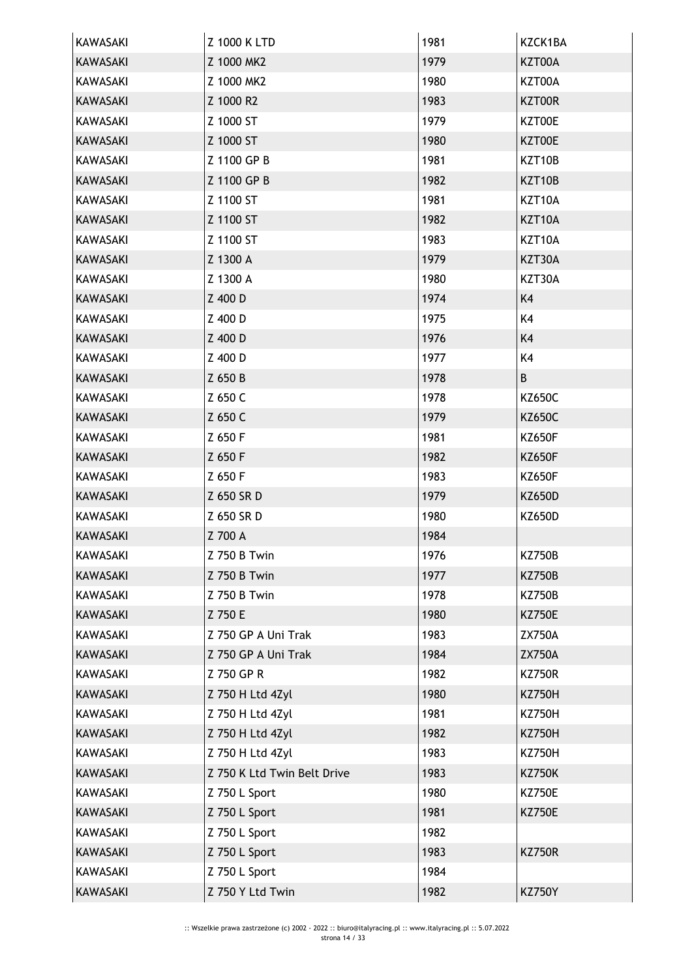| KAWASAKI        | Z 1000 K LTD                | 1981 | KZCK1BA       |
|-----------------|-----------------------------|------|---------------|
| <b>KAWASAKI</b> | Z 1000 MK2                  | 1979 | KZT00A        |
| <b>KAWASAKI</b> | Z 1000 MK2                  | 1980 | KZT00A        |
| KAWASAKI        | Z 1000 R2                   | 1983 | KZT00R        |
| <b>KAWASAKI</b> | Z 1000 ST                   | 1979 | KZT00E        |
| <b>KAWASAKI</b> | Z 1000 ST                   | 1980 | KZT00E        |
| KAWASAKI        | Z 1100 GP B                 | 1981 | KZT10B        |
| <b>KAWASAKI</b> | Z 1100 GP B                 | 1982 | KZT10B        |
| KAWASAKI        | Z 1100 ST                   | 1981 | KZT10A        |
| KAWASAKI        | Z 1100 ST                   | 1982 | KZT10A        |
| <b>KAWASAKI</b> | Z 1100 ST                   | 1983 | KZT10A        |
| KAWASAKI        | Z 1300 A                    | 1979 | KZT30A        |
| KAWASAKI        | Z 1300 A                    | 1980 | KZT30A        |
| <b>KAWASAKI</b> | Z 400 D                     | 1974 | K4            |
| <b>KAWASAKI</b> | Z 400 D                     | 1975 | K4            |
| <b>KAWASAKI</b> | Z 400 D                     | 1976 | K4            |
| <b>KAWASAKI</b> | Z 400 D                     | 1977 | K4            |
| <b>KAWASAKI</b> | Z 650 B                     | 1978 | B             |
| KAWASAKI        | Z 650 C                     | 1978 | <b>KZ650C</b> |
| <b>KAWASAKI</b> | Z 650 C                     | 1979 | <b>KZ650C</b> |
| KAWASAKI        | Z 650 F                     | 1981 | <b>KZ650F</b> |
| <b>KAWASAKI</b> | Z 650 F                     | 1982 | <b>KZ650F</b> |
| <b>KAWASAKI</b> | Z 650 F                     | 1983 | <b>KZ650F</b> |
| <b>KAWASAKI</b> | Z 650 SR D                  | 1979 | <b>KZ650D</b> |
| KAWASAKI        | Z 650 SR D                  | 1980 | KZ650D        |
| <b>KAWASAKI</b> | Z 700 A                     | 1984 |               |
| KAWASAKI        | Z 750 B Twin                | 1976 | <b>KZ750B</b> |
| <b>KAWASAKI</b> | Z 750 B Twin                | 1977 | <b>KZ750B</b> |
| <b>KAWASAKI</b> | <b>Z 750 B Twin</b>         | 1978 | <b>KZ750B</b> |
| KAWASAKI        | Z 750 E                     | 1980 | <b>KZ750E</b> |
| KAWASAKI        | Z 750 GP A Uni Trak         | 1983 | <b>ZX750A</b> |
| KAWASAKI        | Z 750 GP A Uni Trak         | 1984 | <b>ZX750A</b> |
| <b>KAWASAKI</b> | Z 750 GP R                  | 1982 | <b>KZ750R</b> |
| KAWASAKI        | Z 750 H Ltd 4Zyl            | 1980 | <b>KZ750H</b> |
| <b>KAWASAKI</b> | Z 750 H Ltd 4Zyl            | 1981 | <b>KZ750H</b> |
| <b>KAWASAKI</b> | Z 750 H Ltd 4Zyl            | 1982 | <b>KZ750H</b> |
| KAWASAKI        | Z 750 H Ltd 4Zyl            | 1983 | <b>KZ750H</b> |
| KAWASAKI        | Z 750 K Ltd Twin Belt Drive | 1983 | <b>KZ750K</b> |
| KAWASAKI        | Z 750 L Sport               | 1980 | <b>KZ750E</b> |
| <b>KAWASAKI</b> | Z 750 L Sport               | 1981 | <b>KZ750E</b> |
| <b>KAWASAKI</b> | Z 750 L Sport               | 1982 |               |
| KAWASAKI        | Z 750 L Sport               | 1983 | <b>KZ750R</b> |
| KAWASAKI        | Z 750 L Sport               | 1984 |               |
| KAWASAKI        | Z 750 Y Ltd Twin            | 1982 | <b>KZ750Y</b> |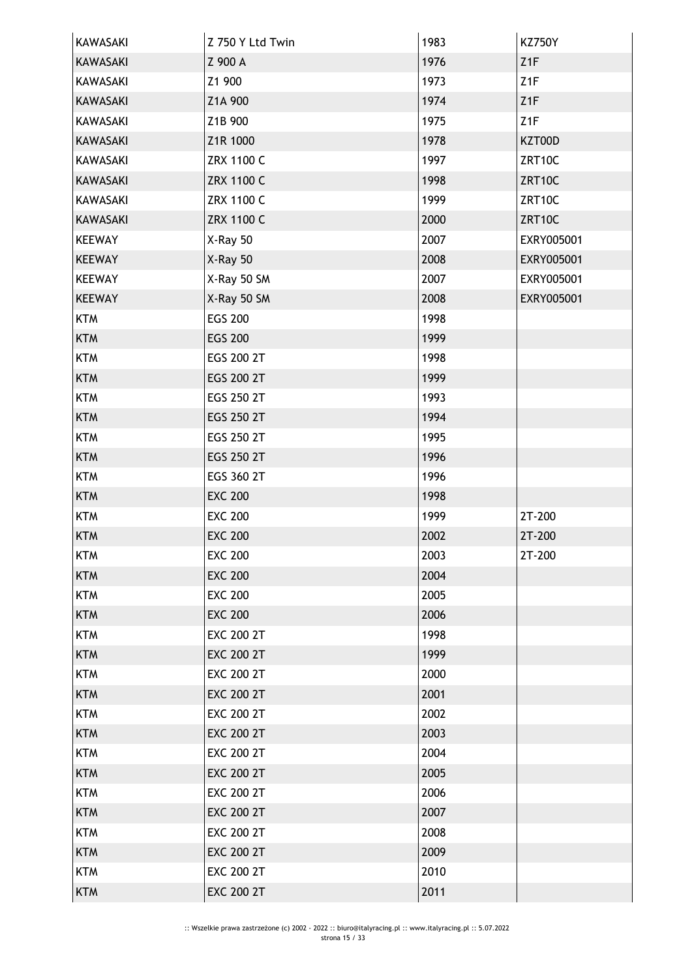| KAWASAKI        | Z 750 Y Ltd Twin  | 1983 | <b>KZ750Y</b>   |
|-----------------|-------------------|------|-----------------|
| <b>KAWASAKI</b> | Z 900 A           | 1976 | Z <sub>1F</sub> |
| <b>KAWASAKI</b> | Z1 900            | 1973 | Z <sub>1F</sub> |
| KAWASAKI        | Z1A 900           | 1974 | Z1F             |
| KAWASAKI        | Z1B 900           | 1975 | Z <sub>1F</sub> |
| KAWASAKI        | Z1R 1000          | 1978 | KZT00D          |
| KAWASAKI        | ZRX 1100 C        | 1997 | ZRT10C          |
| <b>KAWASAKI</b> | <b>ZRX 1100 C</b> | 1998 | ZRT10C          |
| <b>KAWASAKI</b> | ZRX 1100 C        | 1999 | ZRT10C          |
| KAWASAKI        | <b>ZRX 1100 C</b> | 2000 | ZRT10C          |
| <b>KEEWAY</b>   | X-Ray 50          | 2007 | EXRY005001      |
| <b>KEEWAY</b>   | X-Ray 50          | 2008 | EXRY005001      |
| <b>KEEWAY</b>   | X-Ray 50 SM       | 2007 | EXRY005001      |
| <b>KEEWAY</b>   | X-Ray 50 SM       | 2008 | EXRY005001      |
| <b>KTM</b>      | <b>EGS 200</b>    | 1998 |                 |
| <b>KTM</b>      | <b>EGS 200</b>    | 1999 |                 |
| <b>KTM</b>      | EGS 200 2T        | 1998 |                 |
| <b>KTM</b>      | EGS 200 2T        | 1999 |                 |
| <b>KTM</b>      | EGS 250 2T        | 1993 |                 |
| <b>KTM</b>      | EGS 250 2T        | 1994 |                 |
| <b>KTM</b>      | EGS 250 2T        | 1995 |                 |
| <b>KTM</b>      | EGS 250 2T        | 1996 |                 |
| <b>KTM</b>      | EGS 360 2T        | 1996 |                 |
| <b>KTM</b>      | <b>EXC 200</b>    | 1998 |                 |
| <b>KTM</b>      | <b>EXC 200</b>    | 1999 | 2T-200          |
| <b>KTM</b>      | <b>EXC 200</b>    | 2002 | 2T-200          |
| KTM             | <b>EXC 200</b>    | 2003 | 2T-200          |
| <b>KTM</b>      | <b>EXC 200</b>    | 2004 |                 |
| <b>KTM</b>      | <b>EXC 200</b>    | 2005 |                 |
| <b>KTM</b>      | <b>EXC 200</b>    | 2006 |                 |
| <b>KTM</b>      | <b>EXC 200 2T</b> | 1998 |                 |
| <b>KTM</b>      | <b>EXC 200 2T</b> | 1999 |                 |
| <b>KTM</b>      | <b>EXC 200 2T</b> | 2000 |                 |
| <b>KTM</b>      | <b>EXC 200 2T</b> | 2001 |                 |
| <b>KTM</b>      | <b>EXC 200 2T</b> | 2002 |                 |
| <b>KTM</b>      | <b>EXC 200 2T</b> | 2003 |                 |
| <b>KTM</b>      | <b>EXC 200 2T</b> | 2004 |                 |
| <b>KTM</b>      | <b>EXC 200 2T</b> | 2005 |                 |
| <b>KTM</b>      | <b>EXC 200 2T</b> | 2006 |                 |
| <b>KTM</b>      | <b>EXC 200 2T</b> | 2007 |                 |
| <b>KTM</b>      | <b>EXC 200 2T</b> | 2008 |                 |
| <b>KTM</b>      | <b>EXC 200 2T</b> | 2009 |                 |
| <b>KTM</b>      | <b>EXC 200 2T</b> | 2010 |                 |
| <b>KTM</b>      | <b>EXC 200 2T</b> | 2011 |                 |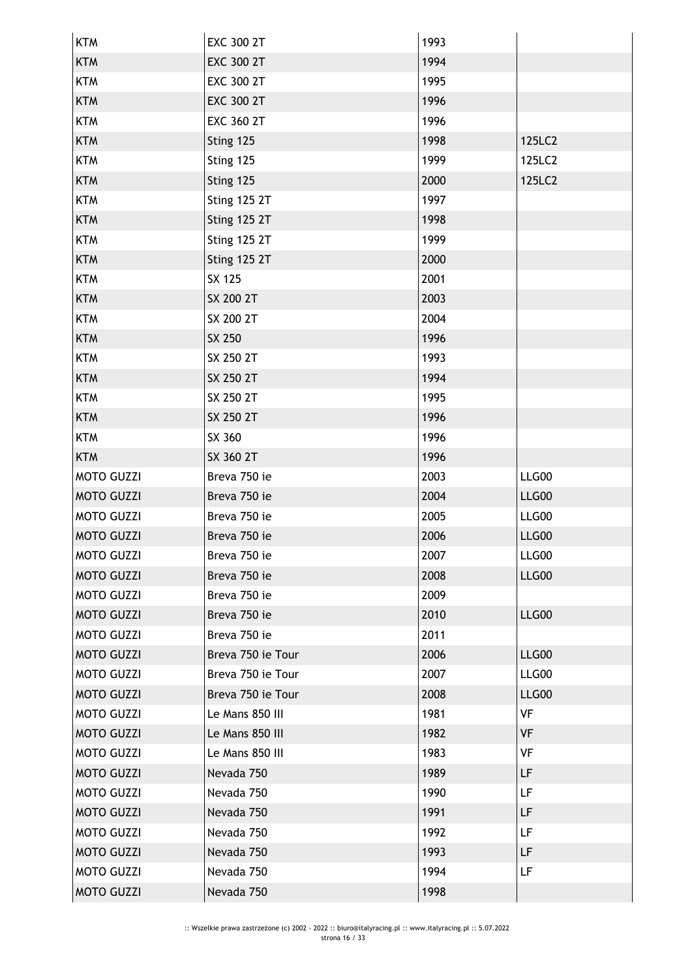| <b>KTM</b>        | <b>EXC 300 2T</b>   | 1993 |           |
|-------------------|---------------------|------|-----------|
| <b>KTM</b>        | <b>EXC 300 2T</b>   | 1994 |           |
| <b>KTM</b>        | <b>EXC 300 2T</b>   | 1995 |           |
| <b>KTM</b>        | <b>EXC 300 2T</b>   | 1996 |           |
| <b>KTM</b>        | <b>EXC 360 2T</b>   | 1996 |           |
| <b>KTM</b>        | Sting 125           | 1998 | 125LC2    |
| <b>KTM</b>        | Sting 125           | 1999 | 125LC2    |
| <b>KTM</b>        | Sting 125           | 2000 | 125LC2    |
| <b>KTM</b>        | Sting 125 2T        | 1997 |           |
| <b>KTM</b>        | Sting 125 2T        | 1998 |           |
| <b>KTM</b>        | <b>Sting 125 2T</b> | 1999 |           |
| <b>KTM</b>        | Sting 125 2T        | 2000 |           |
| <b>KTM</b>        | SX 125              | 2001 |           |
| <b>KTM</b>        | SX 200 2T           | 2003 |           |
| <b>KTM</b>        | SX 200 2T           | 2004 |           |
| <b>KTM</b>        | SX 250              | 1996 |           |
| <b>KTM</b>        | SX 250 2T           | 1993 |           |
| <b>KTM</b>        | SX 250 2T           | 1994 |           |
| <b>KTM</b>        | SX 250 2T           | 1995 |           |
| <b>KTM</b>        | SX 250 2T           | 1996 |           |
| <b>KTM</b>        | SX 360              | 1996 |           |
| <b>KTM</b>        | SX 360 2T           | 1996 |           |
| <b>MOTO GUZZI</b> | Breva 750 ie        | 2003 | LLG00     |
| <b>MOTO GUZZI</b> | Breva 750 ie        | 2004 | LLG00     |
| <b>MOTO GUZZI</b> | Breva 750 ie        | 2005 | LLG00     |
| <b>MOTO GUZZI</b> | Breva 750 ie        | 2006 | LLG00     |
| <b>MOTO GUZZI</b> | Breva 750 ie        | 2007 | LLG00     |
| <b>MOTO GUZZI</b> | Breva 750 ie        | 2008 | LLG00     |
| <b>MOTO GUZZI</b> | Breva 750 ie        | 2009 |           |
| <b>MOTO GUZZI</b> | Breva 750 ie        | 2010 | LLG00     |
| <b>MOTO GUZZI</b> | Breva 750 ie        | 2011 |           |
| <b>MOTO GUZZI</b> | Breva 750 ie Tour   | 2006 | LLG00     |
| <b>MOTO GUZZI</b> | Breva 750 ie Tour   | 2007 | LLG00     |
| <b>MOTO GUZZI</b> | Breva 750 ie Tour   | 2008 | LLG00     |
| <b>MOTO GUZZI</b> | Le Mans 850 III     | 1981 | VF        |
| <b>MOTO GUZZI</b> | Le Mans 850 III     | 1982 | VF        |
| <b>MOTO GUZZI</b> | Le Mans 850 III     | 1983 | VF        |
| <b>MOTO GUZZI</b> | Nevada 750          | 1989 | LF        |
| <b>MOTO GUZZI</b> | Nevada 750          | 1990 | <b>LF</b> |
| <b>MOTO GUZZI</b> | Nevada 750          | 1991 | LF        |
| <b>MOTO GUZZI</b> | Nevada 750          | 1992 | LF        |
| <b>MOTO GUZZI</b> | Nevada 750          | 1993 | LF        |
| <b>MOTO GUZZI</b> | Nevada 750          | 1994 | <b>LF</b> |
| <b>MOTO GUZZI</b> | Nevada 750          | 1998 |           |
|                   |                     |      |           |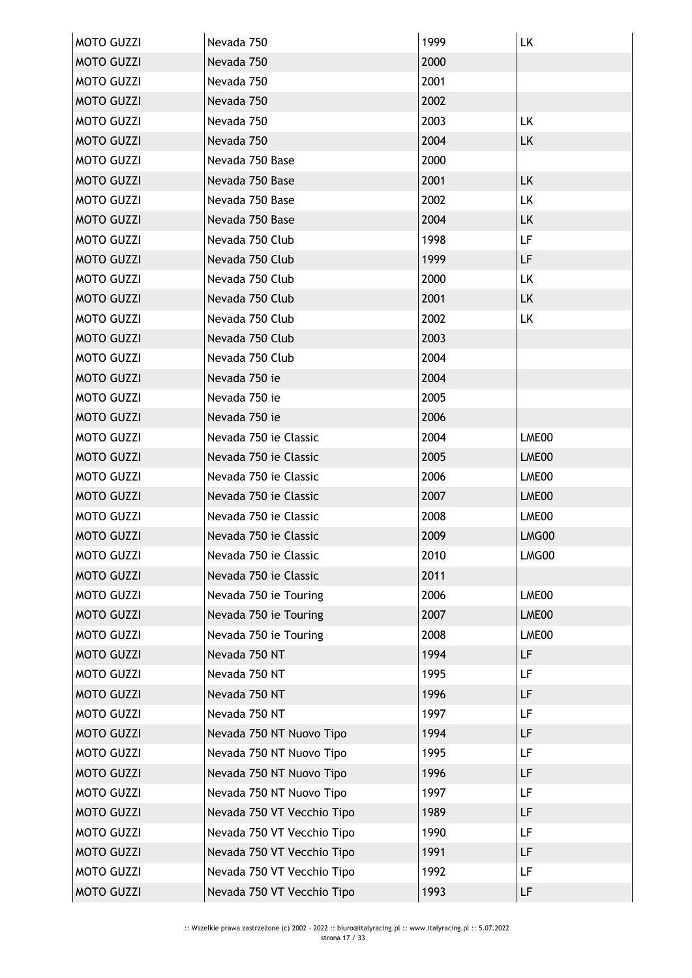| <b>MOTO GUZZI</b> | Nevada 750                 | 1999 | LK        |
|-------------------|----------------------------|------|-----------|
| <b>MOTO GUZZI</b> | Nevada 750                 | 2000 |           |
| <b>MOTO GUZZI</b> | Nevada 750                 | 2001 |           |
| <b>MOTO GUZZI</b> | Nevada 750                 | 2002 |           |
| <b>MOTO GUZZI</b> | Nevada 750                 | 2003 | LK        |
| <b>MOTO GUZZI</b> | Nevada 750                 | 2004 | LK        |
| <b>MOTO GUZZI</b> | Nevada 750 Base            | 2000 |           |
| <b>MOTO GUZZI</b> | Nevada 750 Base            | 2001 | LK.       |
| <b>MOTO GUZZI</b> | Nevada 750 Base            | 2002 | LK        |
| <b>MOTO GUZZI</b> | Nevada 750 Base            | 2004 | <b>LK</b> |
| <b>MOTO GUZZI</b> | Nevada 750 Club            | 1998 | <b>LF</b> |
| <b>MOTO GUZZI</b> | Nevada 750 Club            | 1999 | LF        |
| <b>MOTO GUZZI</b> | Nevada 750 Club            | 2000 | LK.       |
| <b>MOTO GUZZI</b> | Nevada 750 Club            | 2001 | LK        |
| <b>MOTO GUZZI</b> | Nevada 750 Club            | 2002 | LK        |
| <b>MOTO GUZZI</b> | Nevada 750 Club            | 2003 |           |
| <b>MOTO GUZZI</b> | Nevada 750 Club            | 2004 |           |
| <b>MOTO GUZZI</b> | Nevada 750 ie              | 2004 |           |
| <b>MOTO GUZZI</b> | Nevada 750 ie              | 2005 |           |
| <b>MOTO GUZZI</b> | Nevada 750 ie              | 2006 |           |
| <b>MOTO GUZZI</b> | Nevada 750 je Classic      | 2004 | LME00     |
| <b>MOTO GUZZI</b> | Nevada 750 ie Classic      | 2005 | LME00     |
| <b>MOTO GUZZI</b> | Nevada 750 je Classic      | 2006 | LME00     |
| <b>MOTO GUZZI</b> | Nevada 750 ie Classic      | 2007 | LME00     |
| <b>MOTO GUZZI</b> | Nevada 750 ie Classic      | 2008 | LME00     |
| <b>MOTO GUZZI</b> | Nevada 750 ie Classic      | 2009 | LMG00     |
| <b>MOTO GUZZI</b> | Nevada 750 je Classic      | 2010 | LMG00     |
| <b>MOTO GUZZI</b> | Nevada 750 ie Classic      | 2011 |           |
| <b>MOTO GUZZI</b> | Nevada 750 ie Touring      | 2006 | LME00     |
| <b>MOTO GUZZI</b> | Nevada 750 ie Touring      | 2007 | LME00     |
| <b>MOTO GUZZI</b> | Nevada 750 ie Touring      | 2008 | LME00     |
| <b>MOTO GUZZI</b> | Nevada 750 NT              | 1994 | LF        |
| <b>MOTO GUZZI</b> | Nevada 750 NT              | 1995 | LF        |
| <b>MOTO GUZZI</b> | Nevada 750 NT              | 1996 | LF        |
| <b>MOTO GUZZI</b> | Nevada 750 NT              | 1997 | LF        |
| <b>MOTO GUZZI</b> | Nevada 750 NT Nuovo Tipo   | 1994 | LF        |
| <b>MOTO GUZZI</b> | Nevada 750 NT Nuovo Tipo   | 1995 | LF        |
| <b>MOTO GUZZI</b> | Nevada 750 NT Nuovo Tipo   | 1996 | LF        |
| <b>MOTO GUZZI</b> | Nevada 750 NT Nuovo Tipo   | 1997 | LF        |
| <b>MOTO GUZZI</b> | Nevada 750 VT Vecchio Tipo | 1989 | LF        |
| <b>MOTO GUZZI</b> | Nevada 750 VT Vecchio Tipo | 1990 | <b>LF</b> |
| <b>MOTO GUZZI</b> | Nevada 750 VT Vecchio Tipo | 1991 | LF        |
| <b>MOTO GUZZI</b> | Nevada 750 VT Vecchio Tipo | 1992 | <b>LF</b> |
| <b>MOTO GUZZI</b> | Nevada 750 VT Vecchio Tipo | 1993 | LF        |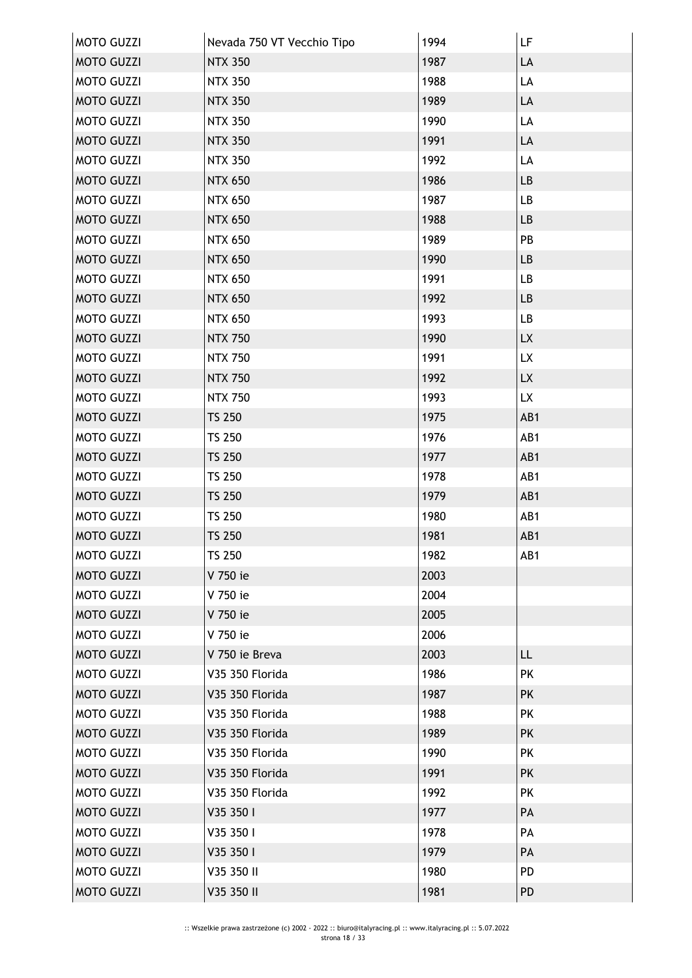| <b>MOTO GUZZI</b> | Nevada 750 VT Vecchio Tipo | 1994 | LF        |
|-------------------|----------------------------|------|-----------|
| <b>MOTO GUZZI</b> | <b>NTX 350</b>             | 1987 | LA        |
| <b>MOTO GUZZI</b> | <b>NTX 350</b>             | 1988 | LA        |
| <b>MOTO GUZZI</b> | <b>NTX 350</b>             | 1989 | LA        |
| <b>MOTO GUZZI</b> | <b>NTX 350</b>             | 1990 | LA        |
| <b>MOTO GUZZI</b> | <b>NTX 350</b>             | 1991 | LA        |
| <b>MOTO GUZZI</b> | <b>NTX 350</b>             | 1992 | LA        |
| <b>MOTO GUZZI</b> | <b>NTX 650</b>             | 1986 | LB        |
| <b>MOTO GUZZI</b> | <b>NTX 650</b>             | 1987 | LB        |
| <b>MOTO GUZZI</b> | <b>NTX 650</b>             | 1988 | LB        |
| <b>MOTO GUZZI</b> | <b>NTX 650</b>             | 1989 | PB        |
| <b>MOTO GUZZI</b> | <b>NTX 650</b>             | 1990 | LB        |
| <b>MOTO GUZZI</b> | <b>NTX 650</b>             | 1991 | LB        |
| <b>MOTO GUZZI</b> | <b>NTX 650</b>             | 1992 | LB        |
| <b>MOTO GUZZI</b> | <b>NTX 650</b>             | 1993 | LB        |
| <b>MOTO GUZZI</b> | <b>NTX 750</b>             | 1990 | <b>LX</b> |
| <b>MOTO GUZZI</b> | <b>NTX 750</b>             | 1991 | LX        |
| <b>MOTO GUZZI</b> | <b>NTX 750</b>             | 1992 | LX        |
| <b>MOTO GUZZI</b> | <b>NTX 750</b>             | 1993 | LX        |
| <b>MOTO GUZZI</b> | <b>TS 250</b>              | 1975 | AB1       |
| <b>MOTO GUZZI</b> | <b>TS 250</b>              | 1976 | AB1       |
| <b>MOTO GUZZI</b> | <b>TS 250</b>              | 1977 | AB1       |
| <b>MOTO GUZZI</b> | <b>TS 250</b>              | 1978 | AB1       |
| <b>MOTO GUZZI</b> | <b>TS 250</b>              | 1979 | AB1       |
| <b>MOTO GUZZI</b> | <b>TS 250</b>              | 1980 | AB1       |
| <b>MOTO GUZZI</b> | <b>TS 250</b>              | 1981 | AB1       |
| <b>MOTO GUZZI</b> | TS 250                     | 1982 | AB1       |
| <b>MOTO GUZZI</b> | V 750 ie                   | 2003 |           |
| <b>MOTO GUZZI</b> | V 750 ie                   | 2004 |           |
| <b>MOTO GUZZI</b> | V 750 ie                   | 2005 |           |
| <b>MOTO GUZZI</b> | V 750 ie                   | 2006 |           |
| <b>MOTO GUZZI</b> | V 750 ie Breva             | 2003 | LL.       |
| <b>MOTO GUZZI</b> | V35 350 Florida            | 1986 | PK        |
| <b>MOTO GUZZI</b> | V35 350 Florida            | 1987 | <b>PK</b> |
| <b>MOTO GUZZI</b> | V35 350 Florida            | 1988 | <b>PK</b> |
| <b>MOTO GUZZI</b> | V35 350 Florida            | 1989 | <b>PK</b> |
| <b>MOTO GUZZI</b> | V35 350 Florida            | 1990 | <b>PK</b> |
| <b>MOTO GUZZI</b> | V35 350 Florida            | 1991 | <b>PK</b> |
| <b>MOTO GUZZI</b> | V35 350 Florida            | 1992 | <b>PK</b> |
| <b>MOTO GUZZI</b> | V35 350 I                  | 1977 | PA        |
| <b>MOTO GUZZI</b> | V35 350 I                  | 1978 | PA        |
| <b>MOTO GUZZI</b> | V35 350 I                  | 1979 | PA        |
| <b>MOTO GUZZI</b> | V35 350 II                 | 1980 | PD        |
| <b>MOTO GUZZI</b> | V35 350 II                 | 1981 | <b>PD</b> |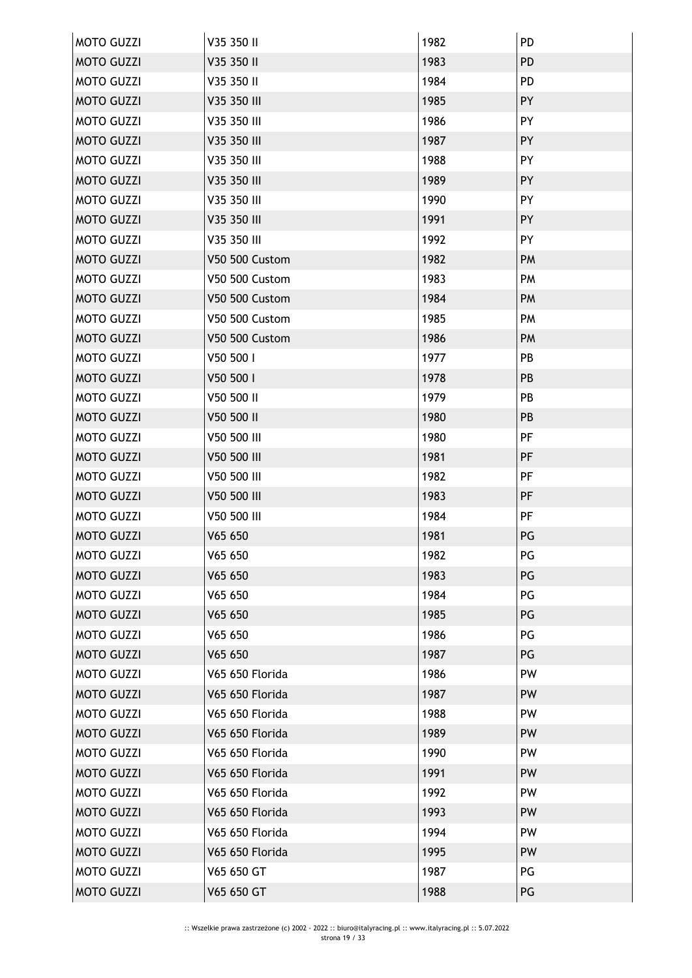| <b>MOTO GUZZI</b> | V35 350 II            | 1982 | PD        |
|-------------------|-----------------------|------|-----------|
| <b>MOTO GUZZI</b> | V35 350 II            | 1983 | <b>PD</b> |
| <b>MOTO GUZZI</b> | V35 350 II            | 1984 | PD        |
| <b>MOTO GUZZI</b> | V35 350 III           | 1985 | PY        |
| <b>MOTO GUZZI</b> | V35 350 III           | 1986 | PY        |
| <b>MOTO GUZZI</b> | V35 350 III           | 1987 | PY        |
| <b>MOTO GUZZI</b> | V35 350 III           | 1988 | PY        |
| <b>MOTO GUZZI</b> | V35 350 III           | 1989 | PY        |
| <b>MOTO GUZZI</b> | V35 350 III           | 1990 | PY        |
| <b>MOTO GUZZI</b> | V35 350 III           | 1991 | PY        |
| <b>MOTO GUZZI</b> | V35 350 III           | 1992 | PY        |
| <b>MOTO GUZZI</b> | <b>V50 500 Custom</b> | 1982 | PM        |
| <b>MOTO GUZZI</b> | V50 500 Custom        | 1983 | <b>PM</b> |
| <b>MOTO GUZZI</b> | V50 500 Custom        | 1984 | PM        |
| <b>MOTO GUZZI</b> | <b>V50 500 Custom</b> | 1985 | PM        |
| <b>MOTO GUZZI</b> | <b>V50 500 Custom</b> | 1986 | PM        |
| <b>MOTO GUZZI</b> | V50 500 I             | 1977 | PB        |
| <b>MOTO GUZZI</b> | V50 500 I             | 1978 | PB        |
| <b>MOTO GUZZI</b> | V50 500 II            | 1979 | PB        |
| <b>MOTO GUZZI</b> | V50 500 II            | 1980 | PB        |
| <b>MOTO GUZZI</b> | V50 500 III           | 1980 | PF        |
| <b>MOTO GUZZI</b> | V50 500 III           | 1981 | PF        |
| <b>MOTO GUZZI</b> | V50 500 III           | 1982 | PF        |
| <b>MOTO GUZZI</b> | V50 500 III           | 1983 | PF        |
| <b>MOTO GUZZI</b> | V50 500 III           | 1984 | PF        |
| <b>MOTO GUZZI</b> | V65 650               | 1981 | PG        |
| <b>MOTO GUZZI</b> | V65 650               | 1982 | PG        |
| <b>MOTO GUZZI</b> | V65 650               | 1983 | PG        |
| <b>MOTO GUZZI</b> | V65 650               | 1984 | PG        |
| <b>MOTO GUZZI</b> | V65 650               | 1985 | PG        |
| <b>MOTO GUZZI</b> | V65 650               | 1986 | PG        |
| <b>MOTO GUZZI</b> | V65 650               | 1987 | PG        |
| <b>MOTO GUZZI</b> | V65 650 Florida       | 1986 | PW        |
| <b>MOTO GUZZI</b> | V65 650 Florida       | 1987 | <b>PW</b> |
| <b>MOTO GUZZI</b> | V65 650 Florida       | 1988 | PW        |
| <b>MOTO GUZZI</b> | V65 650 Florida       | 1989 | PW        |
| <b>MOTO GUZZI</b> | V65 650 Florida       | 1990 | PW        |
| <b>MOTO GUZZI</b> | V65 650 Florida       | 1991 | PW        |
| <b>MOTO GUZZI</b> | V65 650 Florida       | 1992 | PW        |
| <b>MOTO GUZZI</b> | V65 650 Florida       | 1993 | <b>PW</b> |
| <b>MOTO GUZZI</b> | V65 650 Florida       | 1994 | PW        |
| <b>MOTO GUZZI</b> | V65 650 Florida       | 1995 | PW        |
| <b>MOTO GUZZI</b> | V65 650 GT            | 1987 | PG        |
| <b>MOTO GUZZI</b> | V65 650 GT            | 1988 | PG        |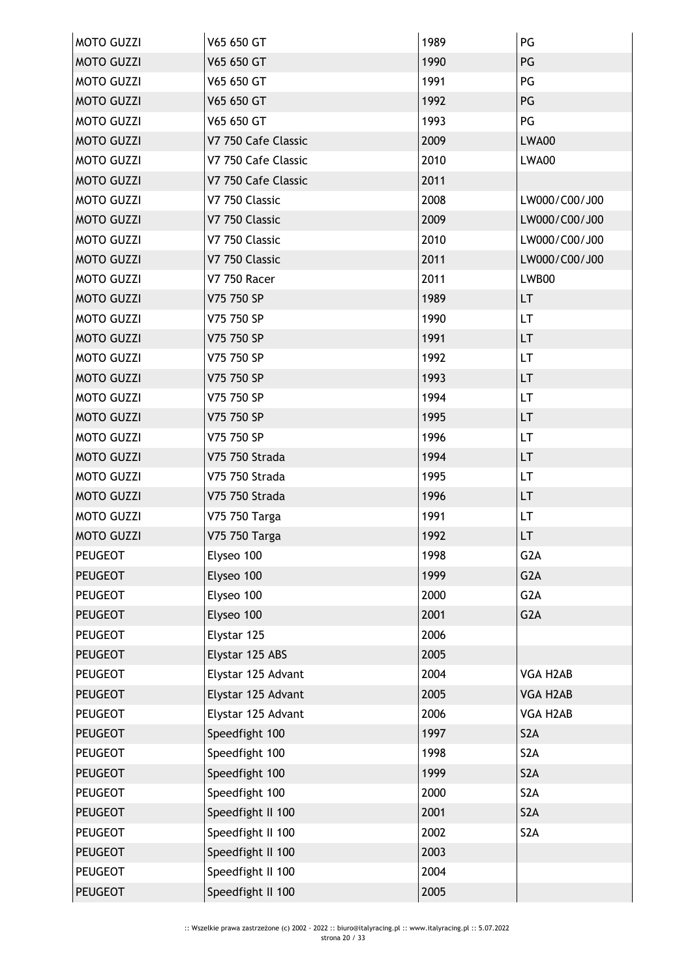| <b>MOTO GUZZI</b> | V65 650 GT          | 1989 | PG               |
|-------------------|---------------------|------|------------------|
| <b>MOTO GUZZI</b> | V65 650 GT          | 1990 | PG               |
| <b>MOTO GUZZI</b> | V65 650 GT          | 1991 | PG               |
| <b>MOTO GUZZI</b> | V65 650 GT          | 1992 | PG               |
| <b>MOTO GUZZI</b> | V65 650 GT          | 1993 | PG               |
| <b>MOTO GUZZI</b> | V7 750 Cafe Classic | 2009 | LWA00            |
| <b>MOTO GUZZI</b> | V7 750 Cafe Classic | 2010 | LWA00            |
| <b>MOTO GUZZI</b> | V7 750 Cafe Classic | 2011 |                  |
| <b>MOTO GUZZI</b> | V7 750 Classic      | 2008 | LW000/C00/J00    |
| <b>MOTO GUZZI</b> | V7 750 Classic      | 2009 | LW000/C00/J00    |
| <b>MOTO GUZZI</b> | V7 750 Classic      | 2010 | LW000/C00/J00    |
| <b>MOTO GUZZI</b> | V7 750 Classic      | 2011 | LW000/C00/J00    |
| <b>MOTO GUZZI</b> | <b>V7 750 Racer</b> | 2011 | LWB00            |
| <b>MOTO GUZZI</b> | V75 750 SP          | 1989 | LT.              |
| <b>MOTO GUZZI</b> | V75 750 SP          | 1990 | LT.              |
| <b>MOTO GUZZI</b> | V75 750 SP          | 1991 | LT.              |
| <b>MOTO GUZZI</b> | V75 750 SP          | 1992 | LT.              |
| <b>MOTO GUZZI</b> | V75 750 SP          | 1993 | LT.              |
| <b>MOTO GUZZI</b> | V75 750 SP          | 1994 | LT               |
| <b>MOTO GUZZI</b> | V75 750 SP          | 1995 | LT.              |
| <b>MOTO GUZZI</b> | V75 750 SP          | 1996 | LT.              |
| <b>MOTO GUZZI</b> | V75 750 Strada      | 1994 | LT               |
| <b>MOTO GUZZI</b> | V75 750 Strada      | 1995 | LT.              |
| <b>MOTO GUZZI</b> | V75 750 Strada      | 1996 | LT.              |
| <b>MOTO GUZZI</b> | V75 750 Targa       | 1991 | LT.              |
| <b>MOTO GUZZI</b> | V75 750 Targa       | 1992 | LT.              |
| <b>PEUGEOT</b>    | Elyseo 100          | 1998 | G2A              |
| <b>PEUGEOT</b>    | Elyseo 100          | 1999 | G <sub>2</sub> A |
| <b>PEUGEOT</b>    | Elyseo 100          | 2000 | G <sub>2</sub> A |
| <b>PEUGEOT</b>    | Elyseo 100          | 2001 | G <sub>2</sub> A |
| <b>PEUGEOT</b>    | Elystar 125         | 2006 |                  |
| <b>PEUGEOT</b>    | Elystar 125 ABS     | 2005 |                  |
| <b>PEUGEOT</b>    | Elystar 125 Advant  | 2004 | VGA H2AB         |
| <b>PEUGEOT</b>    | Elystar 125 Advant  | 2005 | VGA H2AB         |
| <b>PEUGEOT</b>    | Elystar 125 Advant  | 2006 | VGA H2AB         |
| <b>PEUGEOT</b>    | Speedfight 100      | 1997 | S <sub>2</sub> A |
| <b>PEUGEOT</b>    | Speedfight 100      | 1998 | S <sub>2</sub> A |
| <b>PEUGEOT</b>    | Speedfight 100      | 1999 | S <sub>2</sub> A |
| <b>PEUGEOT</b>    | Speedfight 100      | 2000 | S <sub>2</sub> A |
| <b>PEUGEOT</b>    | Speedfight II 100   | 2001 | S <sub>2</sub> A |
| PEUGEOT           | Speedfight II 100   | 2002 | S <sub>2</sub> A |
| <b>PEUGEOT</b>    | Speedfight II 100   | 2003 |                  |
| <b>PEUGEOT</b>    | Speedfight II 100   | 2004 |                  |
| <b>PEUGEOT</b>    | Speedfight II 100   | 2005 |                  |
|                   |                     |      |                  |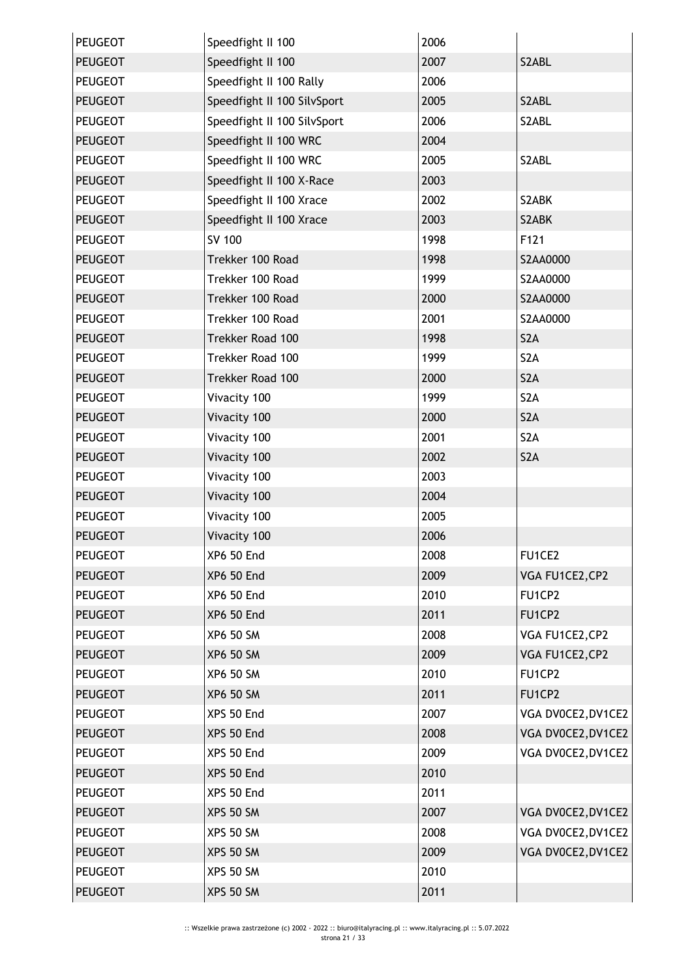| <b>PEUGEOT</b> | Speedfight II 100           | 2006 |                    |
|----------------|-----------------------------|------|--------------------|
| <b>PEUGEOT</b> | Speedfight II 100           | 2007 | S2ABL              |
| <b>PEUGEOT</b> | Speedfight II 100 Rally     | 2006 |                    |
| <b>PEUGEOT</b> | Speedfight II 100 SilvSport | 2005 | S2ABL              |
| <b>PEUGEOT</b> | Speedfight II 100 SilvSport | 2006 | S2ABL              |
| <b>PEUGEOT</b> | Speedfight II 100 WRC       | 2004 |                    |
| <b>PEUGEOT</b> | Speedfight II 100 WRC       | 2005 | S2ABL              |
| <b>PEUGEOT</b> | Speedfight II 100 X-Race    | 2003 |                    |
| <b>PEUGEOT</b> | Speedfight II 100 Xrace     | 2002 | S2ABK              |
| <b>PEUGEOT</b> | Speedfight II 100 Xrace     | 2003 | S2ABK              |
| <b>PEUGEOT</b> | SV 100                      | 1998 | F121               |
| <b>PEUGEOT</b> | Trekker 100 Road            | 1998 | S2AA0000           |
| <b>PEUGEOT</b> | Trekker 100 Road            | 1999 | S2AA0000           |
| <b>PEUGEOT</b> | Trekker 100 Road            | 2000 | S2AA0000           |
| <b>PEUGEOT</b> | Trekker 100 Road            | 2001 | S2AA0000           |
| <b>PEUGEOT</b> | Trekker Road 100            | 1998 | S <sub>2</sub> A   |
| <b>PEUGEOT</b> | Trekker Road 100            | 1999 | S <sub>2</sub> A   |
| <b>PEUGEOT</b> | Trekker Road 100            | 2000 | S <sub>2</sub> A   |
| <b>PEUGEOT</b> | Vivacity 100                | 1999 | S <sub>2</sub> A   |
| <b>PEUGEOT</b> | Vivacity 100                | 2000 | S <sub>2</sub> A   |
| <b>PEUGEOT</b> | Vivacity 100                | 2001 | S <sub>2</sub> A   |
| <b>PEUGEOT</b> | Vivacity 100                | 2002 | S <sub>2</sub> A   |
| <b>PEUGEOT</b> | Vivacity 100                | 2003 |                    |
| <b>PEUGEOT</b> | Vivacity 100                | 2004 |                    |
| <b>PEUGEOT</b> | Vivacity 100                | 2005 |                    |
| <b>PEUGEOT</b> | Vivacity 100                | 2006 |                    |
| <b>PEUGEOT</b> | XP6 50 End                  | 2008 | <b>FU1CE2</b>      |
| <b>PEUGEOT</b> | <b>XP6 50 End</b>           | 2009 | VGA FU1CE2, CP2    |
| <b>PEUGEOT</b> | <b>XP6 50 End</b>           | 2010 | FU1CP2             |
| <b>PEUGEOT</b> | <b>XP6 50 End</b>           | 2011 | FU1CP2             |
| <b>PEUGEOT</b> | <b>XP6 50 SM</b>            | 2008 | VGA FU1CE2, CP2    |
| <b>PEUGEOT</b> | <b>XP6 50 SM</b>            | 2009 | VGA FU1CE2, CP2    |
| <b>PEUGEOT</b> | <b>XP6 50 SM</b>            | 2010 | FU1CP2             |
| <b>PEUGEOT</b> | <b>XP6 50 SM</b>            | 2011 | FU1CP2             |
| <b>PEUGEOT</b> | XPS 50 End                  | 2007 | VGA DV0CE2, DV1CE2 |
| <b>PEUGEOT</b> | XPS 50 End                  | 2008 | VGA DV0CE2, DV1CE2 |
| <b>PEUGEOT</b> | XPS 50 End                  | 2009 | VGA DV0CE2, DV1CE2 |
| <b>PEUGEOT</b> | XPS 50 End                  | 2010 |                    |
| <b>PEUGEOT</b> | XPS 50 End                  | 2011 |                    |
| <b>PEUGEOT</b> | <b>XPS 50 SM</b>            | 2007 | VGA DV0CE2, DV1CE2 |
| <b>PEUGEOT</b> | <b>XPS 50 SM</b>            | 2008 | VGA DV0CE2, DV1CE2 |
| <b>PEUGEOT</b> | <b>XPS 50 SM</b>            | 2009 | VGA DV0CE2, DV1CE2 |
| <b>PEUGEOT</b> | <b>XPS 50 SM</b>            | 2010 |                    |
| <b>PEUGEOT</b> | <b>XPS 50 SM</b>            | 2011 |                    |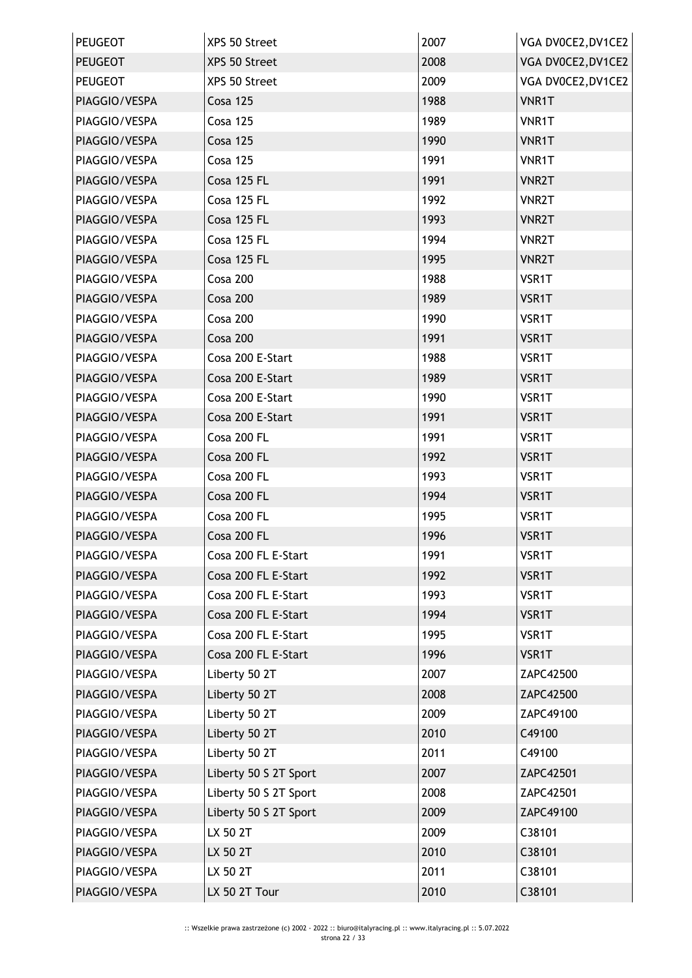| <b>PEUGEOT</b> | XPS 50 Street         | 2007 | VGA DV0CE2, DV1CE2 |
|----------------|-----------------------|------|--------------------|
| <b>PEUGEOT</b> | XPS 50 Street         | 2008 | VGA DV0CE2, DV1CE2 |
| <b>PEUGEOT</b> | XPS 50 Street         | 2009 | VGA DV0CE2, DV1CE2 |
| PIAGGIO/VESPA  | <b>Cosa 125</b>       | 1988 | VNR1T              |
| PIAGGIO/VESPA  | <b>Cosa 125</b>       | 1989 | VNR1T              |
| PIAGGIO/VESPA  | <b>Cosa 125</b>       | 1990 | VNR1T              |
| PIAGGIO/VESPA  | <b>Cosa 125</b>       | 1991 | VNR1T              |
| PIAGGIO/VESPA  | Cosa 125 FL           | 1991 | <b>VNR2T</b>       |
| PIAGGIO/VESPA  | Cosa 125 FL           | 1992 | <b>VNR2T</b>       |
| PIAGGIO/VESPA  | Cosa 125 FL           | 1993 | <b>VNR2T</b>       |
| PIAGGIO/VESPA  | Cosa 125 FL           | 1994 | <b>VNR2T</b>       |
| PIAGGIO/VESPA  | Cosa 125 FL           | 1995 | <b>VNR2T</b>       |
| PIAGGIO/VESPA  | Cosa 200              | 1988 | VSR1T              |
| PIAGGIO/VESPA  | Cosa 200              | 1989 | VSR1T              |
| PIAGGIO/VESPA  | Cosa 200              | 1990 | VSR1T              |
| PIAGGIO/VESPA  | Cosa 200              | 1991 | VSR1T              |
| PIAGGIO/VESPA  | Cosa 200 E-Start      | 1988 | VSR1T              |
| PIAGGIO/VESPA  | Cosa 200 E-Start      | 1989 | VSR1T              |
| PIAGGIO/VESPA  | Cosa 200 E-Start      | 1990 | VSR1T              |
| PIAGGIO/VESPA  | Cosa 200 E-Start      | 1991 | VSR1T              |
| PIAGGIO/VESPA  | Cosa 200 FL           | 1991 | VSR1T              |
| PIAGGIO/VESPA  | Cosa 200 FL           | 1992 | VSR1T              |
| PIAGGIO/VESPA  | Cosa 200 FL           | 1993 | VSR1T              |
| PIAGGIO/VESPA  | Cosa 200 FL           | 1994 | VSR1T              |
| PIAGGIO/VESPA  | Cosa 200 FL           | 1995 | VSR1T              |
| PIAGGIO/VESPA  | Cosa 200 FL           | 1996 | VSR1T              |
| PIAGGIO/VESPA  | Cosa 200 FL E-Start   | 1991 | VSR1T              |
| PIAGGIO/VESPA  | Cosa 200 FL E-Start   | 1992 | VSR1T              |
| PIAGGIO/VESPA  | Cosa 200 FL E-Start   | 1993 | VSR1T              |
| PIAGGIO/VESPA  | Cosa 200 FL E-Start   | 1994 | VSR1T              |
| PIAGGIO/VESPA  | Cosa 200 FL E-Start   | 1995 | VSR1T              |
| PIAGGIO/VESPA  | Cosa 200 FL E-Start   | 1996 | VSR1T              |
| PIAGGIO/VESPA  | Liberty 50 2T         | 2007 | ZAPC42500          |
| PIAGGIO/VESPA  | Liberty 50 2T         | 2008 | ZAPC42500          |
| PIAGGIO/VESPA  | Liberty 50 2T         | 2009 | ZAPC49100          |
| PIAGGIO/VESPA  | Liberty 50 2T         | 2010 | C49100             |
| PIAGGIO/VESPA  | Liberty 50 2T         | 2011 | C49100             |
| PIAGGIO/VESPA  | Liberty 50 S 2T Sport | 2007 | ZAPC42501          |
| PIAGGIO/VESPA  | Liberty 50 S 2T Sport | 2008 | ZAPC42501          |
| PIAGGIO/VESPA  | Liberty 50 S 2T Sport | 2009 | ZAPC49100          |
| PIAGGIO/VESPA  | LX 50 2T              | 2009 | C38101             |
| PIAGGIO/VESPA  | LX 50 2T              | 2010 | C38101             |
| PIAGGIO/VESPA  | LX 50 2T              | 2011 | C38101             |
| PIAGGIO/VESPA  | LX 50 2T Tour         | 2010 | C38101             |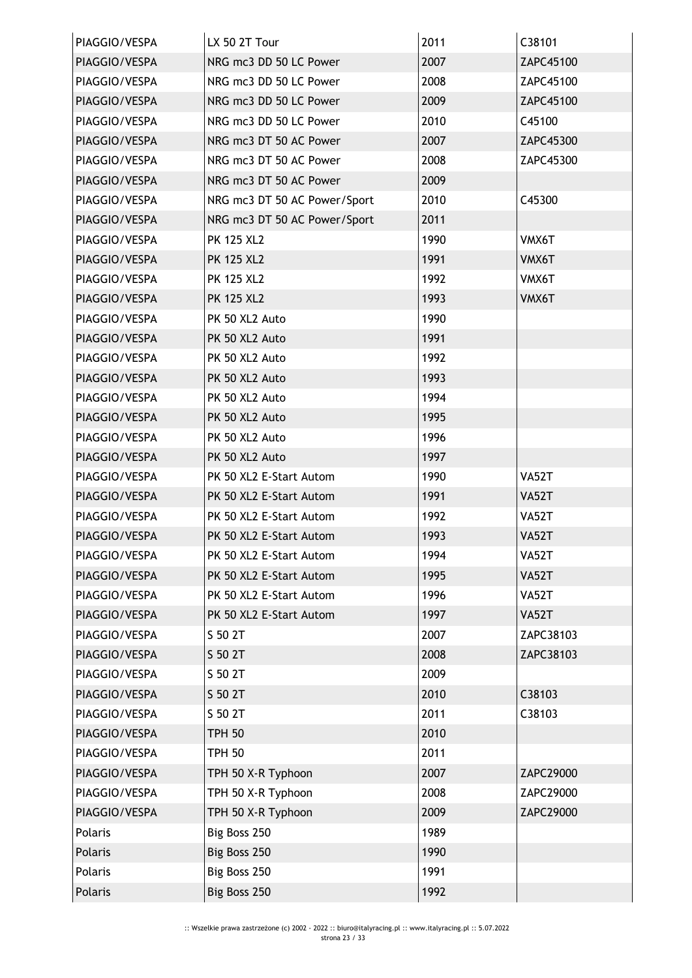| PIAGGIO/VESPA | LX 50 2T Tour                | 2011 | C38101       |
|---------------|------------------------------|------|--------------|
| PIAGGIO/VESPA | NRG mc3 DD 50 LC Power       | 2007 | ZAPC45100    |
| PIAGGIO/VESPA | NRG mc3 DD 50 LC Power       | 2008 | ZAPC45100    |
| PIAGGIO/VESPA | NRG mc3 DD 50 LC Power       | 2009 | ZAPC45100    |
| PIAGGIO/VESPA | NRG mc3 DD 50 LC Power       | 2010 | C45100       |
| PIAGGIO/VESPA | NRG mc3 DT 50 AC Power       | 2007 | ZAPC45300    |
| PIAGGIO/VESPA | NRG mc3 DT 50 AC Power       | 2008 | ZAPC45300    |
| PIAGGIO/VESPA | NRG mc3 DT 50 AC Power       | 2009 |              |
| PIAGGIO/VESPA | NRG mc3 DT 50 AC Power/Sport | 2010 | C45300       |
| PIAGGIO/VESPA | NRG mc3 DT 50 AC Power/Sport | 2011 |              |
| PIAGGIO/VESPA | <b>PK 125 XL2</b>            | 1990 | VMX6T        |
| PIAGGIO/VESPA | <b>PK 125 XL2</b>            | 1991 | VMX6T        |
| PIAGGIO/VESPA | <b>PK 125 XL2</b>            | 1992 | VMX6T        |
| PIAGGIO/VESPA | <b>PK 125 XL2</b>            | 1993 | VMX6T        |
| PIAGGIO/VESPA | PK 50 XL2 Auto               | 1990 |              |
| PIAGGIO/VESPA | PK 50 XL2 Auto               | 1991 |              |
| PIAGGIO/VESPA | PK 50 XL2 Auto               | 1992 |              |
| PIAGGIO/VESPA | PK 50 XL2 Auto               | 1993 |              |
| PIAGGIO/VESPA | PK 50 XL2 Auto               | 1994 |              |
| PIAGGIO/VESPA | PK 50 XL2 Auto               | 1995 |              |
| PIAGGIO/VESPA | PK 50 XL2 Auto               | 1996 |              |
| PIAGGIO/VESPA | PK 50 XL2 Auto               | 1997 |              |
| PIAGGIO/VESPA | PK 50 XL2 E-Start Autom      | 1990 | <b>VA52T</b> |
| PIAGGIO/VESPA | PK 50 XL2 E-Start Autom      | 1991 | <b>VA52T</b> |
| PIAGGIO/VESPA | PK 50 XL2 E-Start Autom      | 1992 | VA52T        |
| PIAGGIO/VESPA | PK 50 XL2 E-Start Autom      | 1993 | <b>VA52T</b> |
| PIAGGIO/VESPA | PK 50 XL2 E-Start Autom      | 1994 | VA52T        |
| PIAGGIO/VESPA | PK 50 XL2 E-Start Autom      | 1995 | <b>VA52T</b> |
| PIAGGIO/VESPA | PK 50 XL2 E-Start Autom      | 1996 | <b>VA52T</b> |
| PIAGGIO/VESPA | PK 50 XL2 E-Start Autom      | 1997 | <b>VA52T</b> |
| PIAGGIO/VESPA | S 50 2T                      | 2007 | ZAPC38103    |
| PIAGGIO/VESPA | S 50 2T                      | 2008 | ZAPC38103    |
| PIAGGIO/VESPA | S 50 2T                      | 2009 |              |
| PIAGGIO/VESPA | S 50 2T                      | 2010 | C38103       |
| PIAGGIO/VESPA | S 50 2T                      | 2011 | C38103       |
| PIAGGIO/VESPA | <b>TPH 50</b>                | 2010 |              |
| PIAGGIO/VESPA | <b>TPH 50</b>                | 2011 |              |
| PIAGGIO/VESPA | TPH 50 X-R Typhoon           | 2007 | ZAPC29000    |
| PIAGGIO/VESPA | TPH 50 X-R Typhoon           | 2008 | ZAPC29000    |
| PIAGGIO/VESPA | TPH 50 X-R Typhoon           | 2009 | ZAPC29000    |
| Polaris       | Big Boss 250                 | 1989 |              |
| Polaris       | Big Boss 250                 | 1990 |              |
| Polaris       | Big Boss 250                 | 1991 |              |
| Polaris       | Big Boss 250                 | 1992 |              |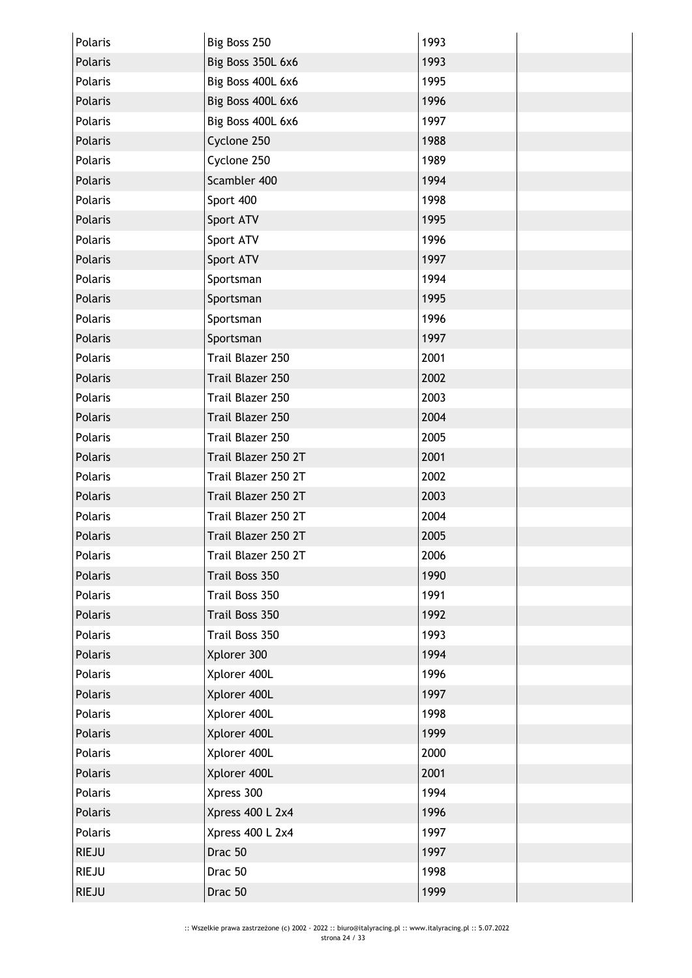| Polaris        | Big Boss 250        | 1993 |  |
|----------------|---------------------|------|--|
| Polaris        | Big Boss 350L 6x6   | 1993 |  |
| Polaris        | Big Boss 400L 6x6   | 1995 |  |
| Polaris        | Big Boss 400L 6x6   | 1996 |  |
| Polaris        | Big Boss 400L 6x6   | 1997 |  |
| Polaris        | Cyclone 250         | 1988 |  |
| Polaris        | Cyclone 250         | 1989 |  |
| <b>Polaris</b> | Scambler 400        | 1994 |  |
| Polaris        | Sport 400           | 1998 |  |
| Polaris        | Sport ATV           | 1995 |  |
| Polaris        | Sport ATV           | 1996 |  |
| Polaris        | Sport ATV           | 1997 |  |
| Polaris        | Sportsman           | 1994 |  |
| Polaris        | Sportsman           | 1995 |  |
| Polaris        | Sportsman           | 1996 |  |
| Polaris        | Sportsman           | 1997 |  |
| Polaris        | Trail Blazer 250    | 2001 |  |
| Polaris        | Trail Blazer 250    | 2002 |  |
| Polaris        | Trail Blazer 250    | 2003 |  |
| Polaris        | Trail Blazer 250    | 2004 |  |
| Polaris        | Trail Blazer 250    | 2005 |  |
| Polaris        | Trail Blazer 250 2T | 2001 |  |
| Polaris        | Trail Blazer 250 2T | 2002 |  |
| Polaris        | Trail Blazer 250 2T | 2003 |  |
| Polaris        | Trail Blazer 250 2T | 2004 |  |
| Polaris        | Trail Blazer 250 2T | 2005 |  |
| Polaris        | Trail Blazer 250 2T | 2006 |  |
| Polaris        | Trail Boss 350      | 1990 |  |
| Polaris        | Trail Boss 350      | 1991 |  |
| Polaris        | Trail Boss 350      | 1992 |  |
| Polaris        | Trail Boss 350      | 1993 |  |
| Polaris        | Xplorer 300         | 1994 |  |
| Polaris        | Xplorer 400L        | 1996 |  |
| Polaris        | Xplorer 400L        | 1997 |  |
| Polaris        | Xplorer 400L        | 1998 |  |
| Polaris        | Xplorer 400L        | 1999 |  |
| Polaris        | Xplorer 400L        | 2000 |  |
| Polaris        | Xplorer 400L        | 2001 |  |
| Polaris        | Xpress 300          | 1994 |  |
| Polaris        | Xpress 400 L 2x4    | 1996 |  |
| Polaris        | Xpress 400 L 2x4    | 1997 |  |
| <b>RIEJU</b>   | Drac 50             | 1997 |  |
| <b>RIEJU</b>   | Drac 50             | 1998 |  |
| <b>RIEJU</b>   | Drac 50             | 1999 |  |
|                |                     |      |  |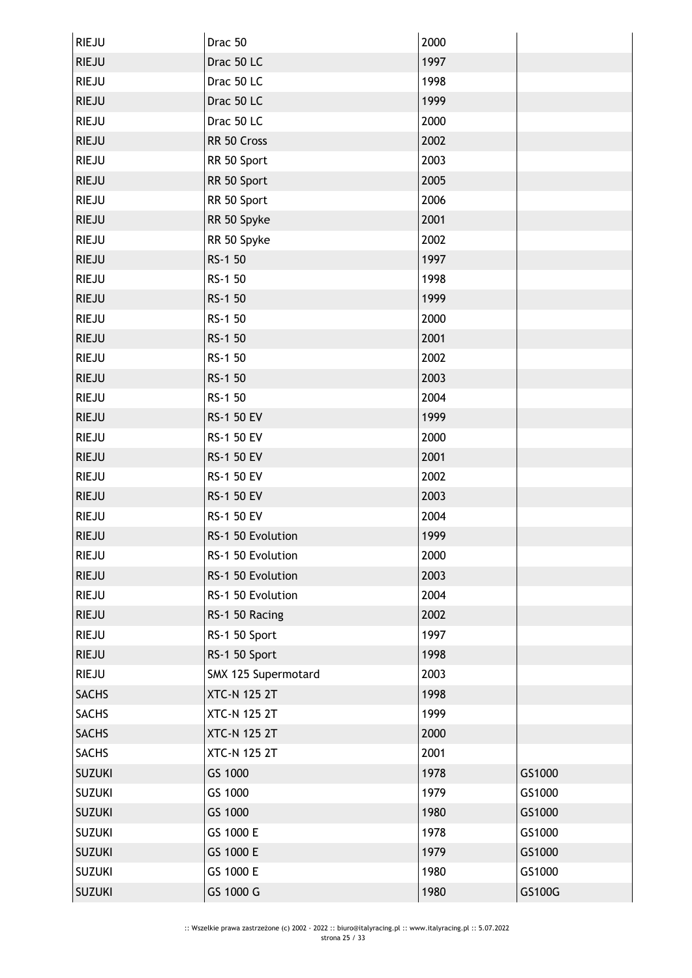| <b>RIEJU</b>  | Drac 50             | 2000 |        |
|---------------|---------------------|------|--------|
| <b>RIEJU</b>  | Drac 50 LC          | 1997 |        |
| <b>RIEJU</b>  | Drac 50 LC          | 1998 |        |
| <b>RIEJU</b>  | Drac 50 LC          | 1999 |        |
| <b>RIEJU</b>  | Drac 50 LC          | 2000 |        |
| <b>RIEJU</b>  | RR 50 Cross         | 2002 |        |
| <b>RIEJU</b>  | RR 50 Sport         | 2003 |        |
| <b>RIEJU</b>  | RR 50 Sport         | 2005 |        |
| <b>RIEJU</b>  | RR 50 Sport         | 2006 |        |
| <b>RIEJU</b>  | RR 50 Spyke         | 2001 |        |
| <b>RIEJU</b>  | RR 50 Spyke         | 2002 |        |
| <b>RIEJU</b>  | RS-1 50             | 1997 |        |
| <b>RIEJU</b>  | RS-1 50             | 1998 |        |
| <b>RIEJU</b>  | RS-1 50             | 1999 |        |
| <b>RIEJU</b>  | RS-1 50             | 2000 |        |
| <b>RIEJU</b>  | RS-1 50             | 2001 |        |
| <b>RIEJU</b>  | RS-1 50             | 2002 |        |
| <b>RIEJU</b>  | RS-1 50             | 2003 |        |
| <b>RIEJU</b>  | RS-1 50             | 2004 |        |
| <b>RIEJU</b>  | RS-1 50 EV          | 1999 |        |
| <b>RIEJU</b>  | RS-1 50 EV          | 2000 |        |
| <b>RIEJU</b>  | RS-1 50 EV          | 2001 |        |
| <b>RIEJU</b>  | RS-1 50 EV          | 2002 |        |
| <b>RIEJU</b>  | RS-1 50 EV          | 2003 |        |
| <b>RIEJU</b>  | RS-1 50 EV          | 2004 |        |
| <b>RIEJU</b>  | RS-1 50 Evolution   | 1999 |        |
| <b>RIEJU</b>  | RS-1 50 Evolution   | 2000 |        |
| <b>RIEJU</b>  | RS-1 50 Evolution   | 2003 |        |
| <b>RIEJU</b>  | RS-1 50 Evolution   | 2004 |        |
| <b>RIEJU</b>  | RS-1 50 Racing      | 2002 |        |
| <b>RIEJU</b>  | RS-1 50 Sport       | 1997 |        |
| <b>RIEJU</b>  | RS-1 50 Sport       | 1998 |        |
| RIEJU         | SMX 125 Supermotard | 2003 |        |
| <b>SACHS</b>  | <b>XTC-N 125 2T</b> | 1998 |        |
| <b>SACHS</b>  | <b>XTC-N 125 2T</b> | 1999 |        |
| <b>SACHS</b>  | <b>XTC-N 125 2T</b> | 2000 |        |
| <b>SACHS</b>  | <b>XTC-N 125 2T</b> | 2001 |        |
| <b>SUZUKI</b> | GS 1000             | 1978 | GS1000 |
| <b>SUZUKI</b> | GS 1000             | 1979 | GS1000 |
| <b>SUZUKI</b> | GS 1000             | 1980 | GS1000 |
| <b>SUZUKI</b> | GS 1000 E           | 1978 | GS1000 |
| <b>SUZUKI</b> | GS 1000 E           | 1979 | GS1000 |
| <b>SUZUKI</b> | GS 1000 E           | 1980 | GS1000 |
| <b>SUZUKI</b> | GS 1000 G           | 1980 | GS100G |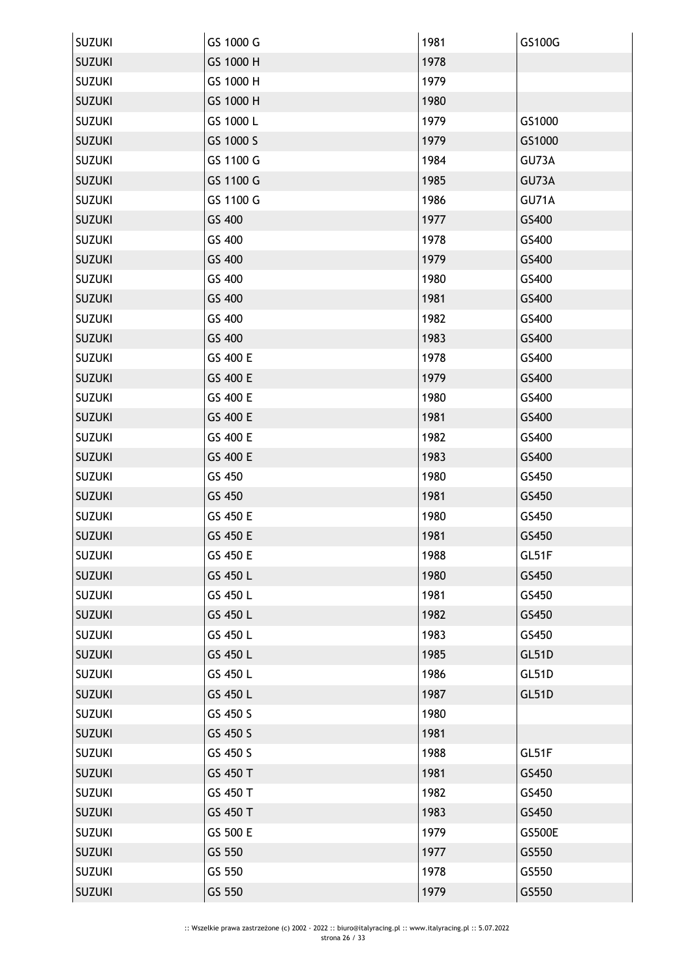| <b>SUZUKI</b> | GS 1000 G | 1981 | GS100G        |
|---------------|-----------|------|---------------|
| <b>SUZUKI</b> | GS 1000 H | 1978 |               |
| <b>SUZUKI</b> | GS 1000 H | 1979 |               |
| <b>SUZUKI</b> | GS 1000 H | 1980 |               |
| <b>SUZUKI</b> | GS 1000 L | 1979 | GS1000        |
| <b>SUZUKI</b> | GS 1000 S | 1979 | GS1000        |
| <b>SUZUKI</b> | GS 1100 G | 1984 | GU73A         |
| <b>SUZUKI</b> | GS 1100 G | 1985 | GU73A         |
| <b>SUZUKI</b> | GS 1100 G | 1986 | GU71A         |
| <b>SUZUKI</b> | GS 400    | 1977 | GS400         |
| <b>SUZUKI</b> | GS 400    | 1978 | GS400         |
| <b>SUZUKI</b> | GS 400    | 1979 | GS400         |
| <b>SUZUKI</b> | GS 400    | 1980 | GS400         |
| <b>SUZUKI</b> | GS 400    | 1981 | GS400         |
| <b>SUZUKI</b> | GS 400    | 1982 | GS400         |
| <b>SUZUKI</b> | GS 400    | 1983 | GS400         |
| <b>SUZUKI</b> | GS 400 E  | 1978 | GS400         |
| <b>SUZUKI</b> | GS 400 E  | 1979 | GS400         |
| <b>SUZUKI</b> | GS 400 E  | 1980 | GS400         |
| <b>SUZUKI</b> | GS 400 E  | 1981 | GS400         |
| <b>SUZUKI</b> | GS 400 E  | 1982 | GS400         |
| <b>SUZUKI</b> | GS 400 E  | 1983 | GS400         |
| <b>SUZUKI</b> | GS 450    | 1980 | GS450         |
| <b>SUZUKI</b> | GS 450    | 1981 | GS450         |
| <b>SUZUKI</b> | GS 450 E  | 1980 | GS450         |
| <b>SUZUKI</b> | GS 450 E  | 1981 | GS450         |
| <b>SUZUKI</b> | GS 450 E  | 1988 | GL51F         |
| <b>SUZUKI</b> | GS 450 L  | 1980 | GS450         |
| <b>SUZUKI</b> | GS 450 L  | 1981 | GS450         |
| <b>SUZUKI</b> | GS 450 L  | 1982 | GS450         |
| <b>SUZUKI</b> | GS 450 L  | 1983 | GS450         |
| <b>SUZUKI</b> | GS 450 L  | 1985 | GL51D         |
| <b>SUZUKI</b> | GS 450 L  | 1986 | GL51D         |
| <b>SUZUKI</b> | GS 450 L  | 1987 | GL51D         |
| <b>SUZUKI</b> | GS 450 S  | 1980 |               |
| <b>SUZUKI</b> | GS 450 S  | 1981 |               |
| <b>SUZUKI</b> | GS 450 S  | 1988 | GL51F         |
| <b>SUZUKI</b> | GS 450 T  | 1981 | GS450         |
| <b>SUZUKI</b> | GS 450 T  | 1982 | GS450         |
| <b>SUZUKI</b> | GS 450 T  | 1983 | GS450         |
| <b>SUZUKI</b> | GS 500 E  | 1979 | <b>GS500E</b> |
| <b>SUZUKI</b> | GS 550    | 1977 | GS550         |
| <b>SUZUKI</b> | GS 550    | 1978 | GS550         |
| <b>SUZUKI</b> | GS 550    | 1979 | GS550         |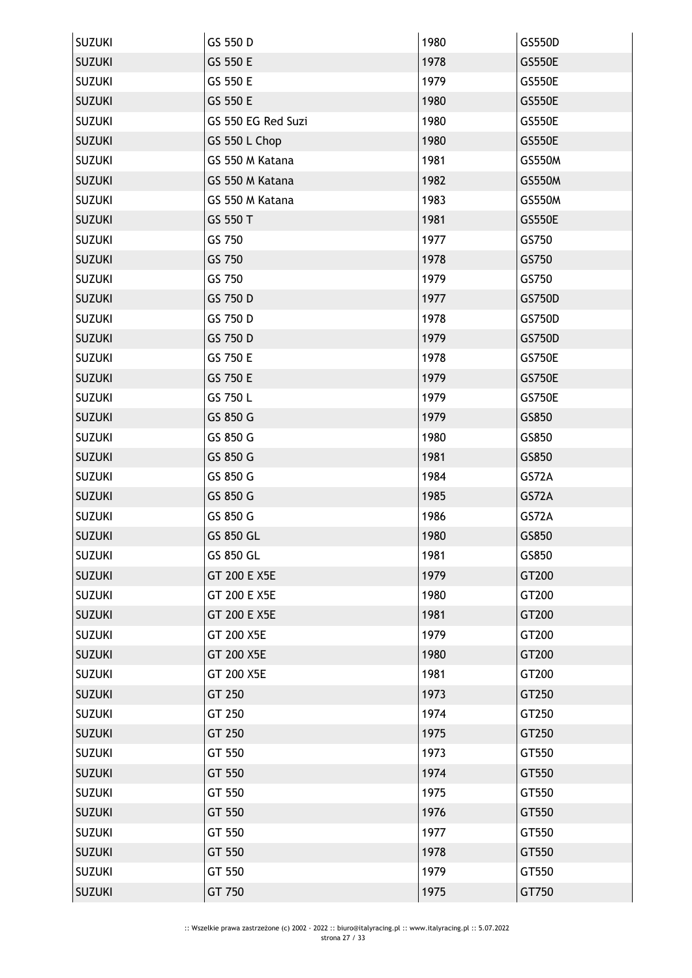| <b>SUZUKI</b> | GS 550 D           | 1980 | GS550D        |
|---------------|--------------------|------|---------------|
| <b>SUZUKI</b> | GS 550 E           | 1978 | <b>GS550E</b> |
| <b>SUZUKI</b> | GS 550 E           | 1979 | <b>GS550E</b> |
| <b>SUZUKI</b> | GS 550 E           | 1980 | GS550E        |
| <b>SUZUKI</b> | GS 550 EG Red Suzi | 1980 | <b>GS550E</b> |
| <b>SUZUKI</b> | GS 550 L Chop      | 1980 | <b>GS550E</b> |
| <b>SUZUKI</b> | GS 550 M Katana    | 1981 | GS550M        |
| <b>SUZUKI</b> | GS 550 M Katana    | 1982 | GS550M        |
| <b>SUZUKI</b> | GS 550 M Katana    | 1983 | GS550M        |
| <b>SUZUKI</b> | GS 550 T           | 1981 | <b>GS550E</b> |
| <b>SUZUKI</b> | GS 750             | 1977 | GS750         |
| <b>SUZUKI</b> | GS 750             | 1978 | GS750         |
| <b>SUZUKI</b> | GS 750             | 1979 | GS750         |
| <b>SUZUKI</b> | GS 750 D           | 1977 | GS750D        |
| <b>SUZUKI</b> | GS 750 D           | 1978 | GS750D        |
| <b>SUZUKI</b> | GS 750 D           | 1979 | GS750D        |
| <b>SUZUKI</b> | GS 750 E           | 1978 | <b>GS750E</b> |
| <b>SUZUKI</b> | GS 750 E           | 1979 | <b>GS750E</b> |
| <b>SUZUKI</b> | GS 750 L           | 1979 | <b>GS750E</b> |
| <b>SUZUKI</b> | GS 850 G           | 1979 | GS850         |
| <b>SUZUKI</b> | GS 850 G           | 1980 | GS850         |
| <b>SUZUKI</b> | GS 850 G           | 1981 | GS850         |
| <b>SUZUKI</b> | GS 850 G           | 1984 | GS72A         |
| <b>SUZUKI</b> | GS 850 G           | 1985 | GS72A         |
| <b>SUZUKI</b> | GS 850 G           | 1986 | GS72A         |
| <b>SUZUKI</b> | GS 850 GL          | 1980 | GS850         |
| <b>SUZUKI</b> | GS 850 GL          | 1981 | GS850         |
| <b>SUZUKI</b> | GT 200 E X5E       | 1979 | GT200         |
| <b>SUZUKI</b> | GT 200 E X5E       | 1980 | GT200         |
| <b>SUZUKI</b> | GT 200 E X5E       | 1981 | GT200         |
| <b>SUZUKI</b> | GT 200 X5E         | 1979 | GT200         |
| <b>SUZUKI</b> | GT 200 X5E         | 1980 | GT200         |
| <b>SUZUKI</b> | GT 200 X5E         | 1981 | GT200         |
| <b>SUZUKI</b> | GT 250             | 1973 | GT250         |
| <b>SUZUKI</b> | GT 250             | 1974 | GT250         |
| <b>SUZUKI</b> | GT 250             | 1975 | GT250         |
| <b>SUZUKI</b> | GT 550             | 1973 | GT550         |
| <b>SUZUKI</b> | GT 550             | 1974 | GT550         |
| <b>SUZUKI</b> | GT 550             | 1975 | GT550         |
| <b>SUZUKI</b> | GT 550             | 1976 | GT550         |
| <b>SUZUKI</b> | GT 550             | 1977 | GT550         |
| <b>SUZUKI</b> | GT 550             | 1978 | GT550         |
| <b>SUZUKI</b> | GT 550             | 1979 | GT550         |
| <b>SUZUKI</b> | GT 750             | 1975 | GT750         |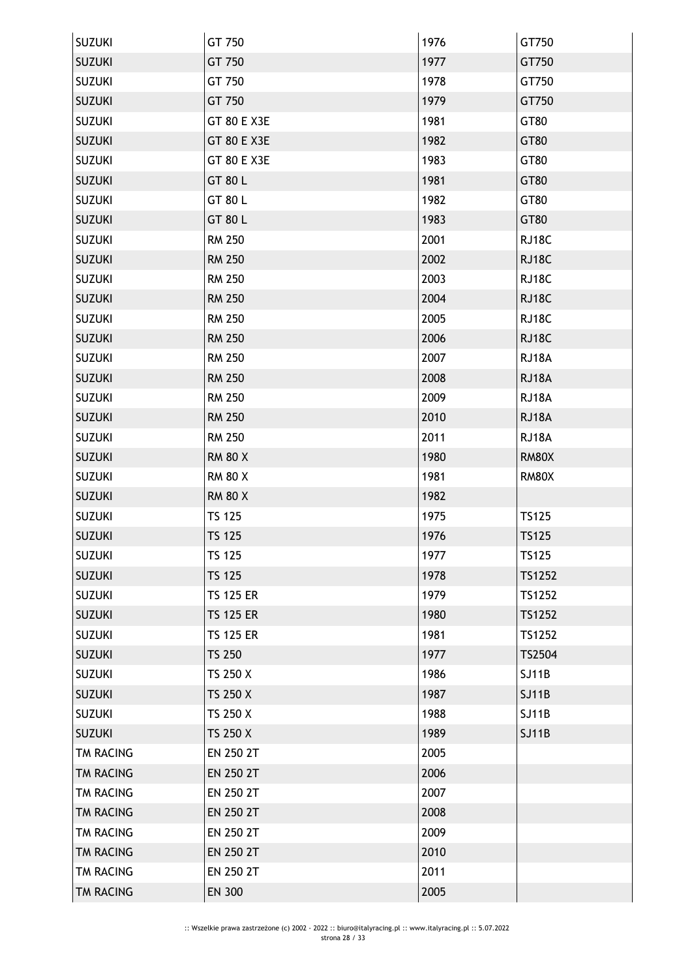| <b>SUZUKI</b> | GT 750           | 1976 | GT750        |
|---------------|------------------|------|--------------|
| <b>SUZUKI</b> | GT 750           | 1977 | GT750        |
| <b>SUZUKI</b> | GT 750           | 1978 | GT750        |
| <b>SUZUKI</b> | GT 750           | 1979 | GT750        |
| <b>SUZUKI</b> | GT 80 E X3E      | 1981 | GT80         |
| <b>SUZUKI</b> | GT 80 E X3E      | 1982 | GT80         |
| <b>SUZUKI</b> | GT 80 E X3E      | 1983 | GT80         |
| <b>SUZUKI</b> | GT 80 L          | 1981 | GT80         |
| <b>SUZUKI</b> | GT 80 L          | 1982 | GT80         |
| <b>SUZUKI</b> | GT 80 L          | 1983 | GT80         |
| <b>SUZUKI</b> | <b>RM 250</b>    | 2001 | RJ18C        |
| <b>SUZUKI</b> | <b>RM 250</b>    | 2002 | RJ18C        |
| <b>SUZUKI</b> | <b>RM 250</b>    | 2003 | RJ18C        |
| <b>SUZUKI</b> | <b>RM 250</b>    | 2004 | RJ18C        |
| <b>SUZUKI</b> | <b>RM 250</b>    | 2005 | RJ18C        |
| <b>SUZUKI</b> | <b>RM 250</b>    | 2006 | RJ18C        |
| <b>SUZUKI</b> | <b>RM 250</b>    | 2007 | RJ18A        |
| <b>SUZUKI</b> | <b>RM 250</b>    | 2008 | RJ18A        |
| <b>SUZUKI</b> | <b>RM 250</b>    | 2009 | RJ18A        |
| <b>SUZUKI</b> | <b>RM 250</b>    | 2010 | RJ18A        |
| <b>SUZUKI</b> | <b>RM 250</b>    | 2011 | RJ18A        |
| <b>SUZUKI</b> | <b>RM 80 X</b>   | 1980 | <b>RM80X</b> |
| <b>SUZUKI</b> | <b>RM 80 X</b>   | 1981 | <b>RM80X</b> |
| <b>SUZUKI</b> | <b>RM 80 X</b>   | 1982 |              |
| <b>SUZUKI</b> | <b>TS 125</b>    | 1975 | <b>TS125</b> |
| <b>SUZUKI</b> | <b>TS 125</b>    | 1976 | <b>TS125</b> |
| <b>SUZUKI</b> | TS 125           | 1977 | TS125        |
| <b>SUZUKI</b> | <b>TS 125</b>    | 1978 | TS1252       |
| <b>SUZUKI</b> | <b>TS 125 ER</b> | 1979 | TS1252       |
| <b>SUZUKI</b> | <b>TS 125 ER</b> | 1980 | TS1252       |
| <b>SUZUKI</b> | <b>TS 125 ER</b> | 1981 | TS1252       |
| <b>SUZUKI</b> | <b>TS 250</b>    | 1977 | TS2504       |
| <b>SUZUKI</b> | TS 250 X         | 1986 | <b>SJ11B</b> |
| <b>SUZUKI</b> | TS 250 X         | 1987 | <b>SJ11B</b> |
| <b>SUZUKI</b> | TS 250 X         | 1988 | <b>SJ11B</b> |
| <b>SUZUKI</b> | TS 250 X         | 1989 | <b>SJ11B</b> |
| TM RACING     | EN 250 2T        | 2005 |              |
| TM RACING     | EN 250 2T        | 2006 |              |
| TM RACING     | EN 250 2T        | 2007 |              |
| TM RACING     | EN 250 2T        | 2008 |              |
| TM RACING     | EN 250 2T        | 2009 |              |
| TM RACING     | EN 250 2T        | 2010 |              |
| TM RACING     | EN 250 2T        | 2011 |              |
| TM RACING     | <b>EN 300</b>    | 2005 |              |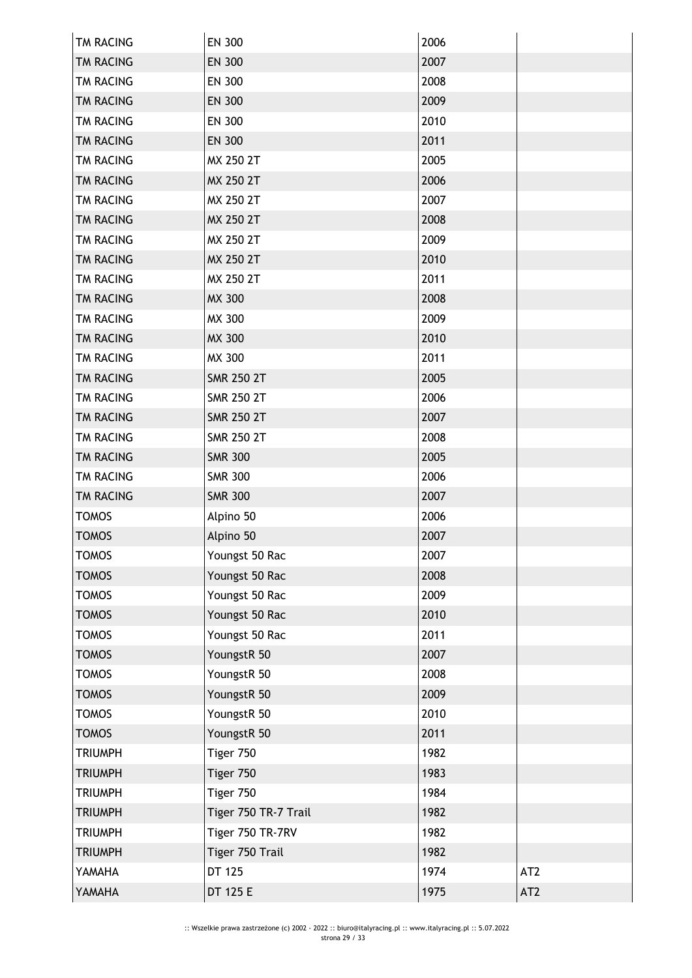| TM RACING        | EN 300               | 2006 |                 |
|------------------|----------------------|------|-----------------|
| TM RACING        | <b>EN 300</b>        | 2007 |                 |
| TM RACING        | <b>EN 300</b>        | 2008 |                 |
| <b>TM RACING</b> | <b>EN 300</b>        | 2009 |                 |
| <b>TM RACING</b> | <b>EN 300</b>        | 2010 |                 |
| TM RACING        | <b>EN 300</b>        | 2011 |                 |
| TM RACING        | MX 250 2T            | 2005 |                 |
| <b>TM RACING</b> | MX 250 2T            | 2006 |                 |
| TM RACING        | MX 250 2T            | 2007 |                 |
| <b>TM RACING</b> | MX 250 2T            | 2008 |                 |
| <b>TM RACING</b> | MX 250 2T            | 2009 |                 |
| TM RACING        | MX 250 2T            | 2010 |                 |
| <b>TM RACING</b> | MX 250 2T            | 2011 |                 |
| TM RACING        | <b>MX 300</b>        | 2008 |                 |
| TM RACING        | MX 300               | 2009 |                 |
| <b>TM RACING</b> | MX 300               | 2010 |                 |
| TM RACING        | MX 300               | 2011 |                 |
| TM RACING        | <b>SMR 250 2T</b>    | 2005 |                 |
| TM RACING        | <b>SMR 250 2T</b>    | 2006 |                 |
| TM RACING        | <b>SMR 250 2T</b>    | 2007 |                 |
| TM RACING        | <b>SMR 250 2T</b>    | 2008 |                 |
| <b>TM RACING</b> | <b>SMR 300</b>       | 2005 |                 |
| TM RACING        | <b>SMR 300</b>       | 2006 |                 |
| TM RACING        | <b>SMR 300</b>       | 2007 |                 |
| <b>TOMOS</b>     | Alpino 50            | 2006 |                 |
| <b>TOMOS</b>     | Alpino 50            | 2007 |                 |
| <b>TOMOS</b>     | Youngst 50 Rac       | 2007 |                 |
| <b>TOMOS</b>     | Youngst 50 Rac       | 2008 |                 |
| <b>TOMOS</b>     | Youngst 50 Rac       | 2009 |                 |
| <b>TOMOS</b>     | Youngst 50 Rac       | 2010 |                 |
| <b>TOMOS</b>     | Youngst 50 Rac       | 2011 |                 |
| <b>TOMOS</b>     | YoungstR 50          | 2007 |                 |
| <b>TOMOS</b>     | YoungstR 50          | 2008 |                 |
| <b>TOMOS</b>     | YoungstR 50          | 2009 |                 |
| <b>TOMOS</b>     | YoungstR 50          | 2010 |                 |
| <b>TOMOS</b>     | YoungstR 50          | 2011 |                 |
| <b>TRIUMPH</b>   | Tiger 750            | 1982 |                 |
| <b>TRIUMPH</b>   | Tiger 750            | 1983 |                 |
| <b>TRIUMPH</b>   | Tiger 750            | 1984 |                 |
| <b>TRIUMPH</b>   | Tiger 750 TR-7 Trail | 1982 |                 |
| <b>TRIUMPH</b>   | Tiger 750 TR-7RV     | 1982 |                 |
| <b>TRIUMPH</b>   | Tiger 750 Trail      | 1982 |                 |
| YAMAHA           | DT 125               | 1974 | AT <sub>2</sub> |
| YAMAHA           | DT 125 E             | 1975 | AT <sub>2</sub> |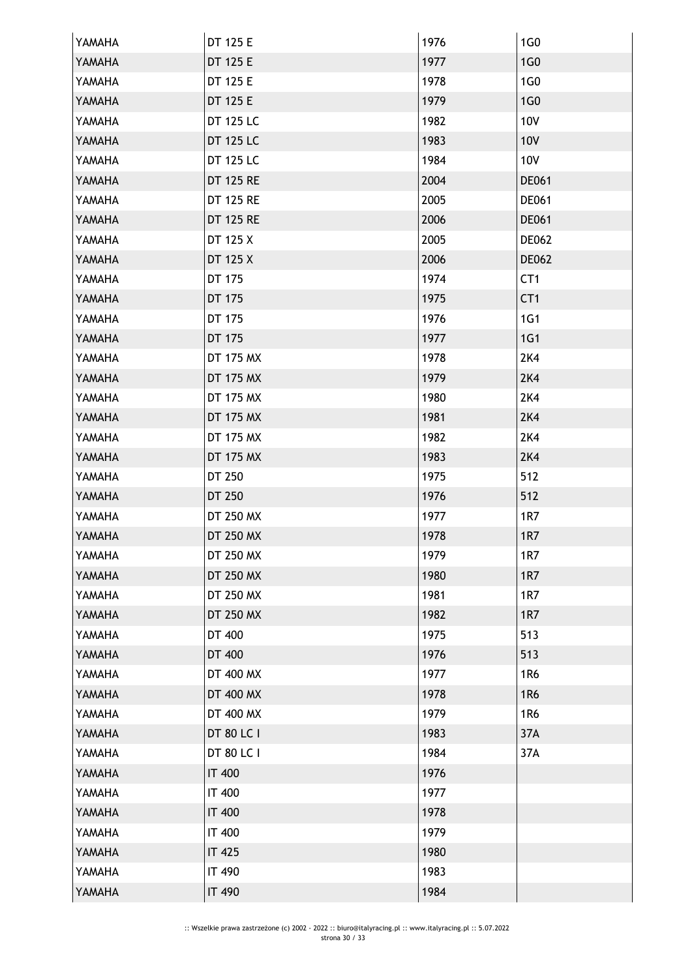| YAMAHA | DT 125 E         | 1976 | 1G <sub>0</sub> |
|--------|------------------|------|-----------------|
| YAMAHA | DT 125 E         | 1977 | 1G <sub>0</sub> |
| YAMAHA | DT 125 E         | 1978 | 1G0             |
| YAMAHA | DT 125 E         | 1979 | 1G <sub>0</sub> |
| YAMAHA | DT 125 LC        | 1982 | <b>10V</b>      |
| YAMAHA | DT 125 LC        | 1983 | <b>10V</b>      |
| YAMAHA | DT 125 LC        | 1984 | 10V             |
| YAMAHA | <b>DT 125 RE</b> | 2004 | DE061           |
| YAMAHA | DT 125 RE        | 2005 | DE061           |
| YAMAHA | <b>DT 125 RE</b> | 2006 | DE061           |
| YAMAHA | DT 125 X         | 2005 | <b>DE062</b>    |
| YAMAHA | DT 125 X         | 2006 | <b>DE062</b>    |
| YAMAHA | DT 175           | 1974 | CT <sub>1</sub> |
| YAMAHA | DT 175           | 1975 | CT <sub>1</sub> |
| YAMAHA | DT 175           | 1976 | <b>1G1</b>      |
| YAMAHA | DT 175           | 1977 | 1G1             |
| YAMAHA | DT 175 MX        | 1978 | <b>2K4</b>      |
| YAMAHA | DT 175 MX        | 1979 | 2K4             |
| YAMAHA | DT 175 MX        | 1980 | 2K4             |
| YAMAHA | DT 175 MX        | 1981 | <b>2K4</b>      |
| YAMAHA | DT 175 MX        | 1982 | 2K4             |
| YAMAHA | DT 175 MX        | 1983 | 2K4             |
| YAMAHA | DT 250           | 1975 | 512             |
| YAMAHA | DT 250           | 1976 | 512             |
| YAMAHA | DT 250 MX        | 1977 | 1R7             |
| YAMAHA | DT 250 MX        | 1978 | 1R7             |
| YAMAHA | DT 250 MX        | 1979 | 1R7             |
| YAMAHA | DT 250 MX        | 1980 | 1R7             |
| YAMAHA | DT 250 MX        | 1981 | <b>1R7</b>      |
| YAMAHA | DT 250 MX        | 1982 | <b>1R7</b>      |
| YAMAHA | DT 400           | 1975 | 513             |
| YAMAHA | DT 400           | 1976 | 513             |
| YAMAHA | DT 400 MX        | 1977 | 1R6             |
| YAMAHA | DT 400 MX        | 1978 | 1R6             |
| YAMAHA | DT 400 MX        | 1979 | 1R6             |
| YAMAHA | DT 80 LC I       | 1983 | 37A             |
| YAMAHA | DT 80 LC I       | 1984 | 37A             |
| YAMAHA | <b>IT 400</b>    | 1976 |                 |
| YAMAHA | <b>IT 400</b>    | 1977 |                 |
| YAMAHA | <b>IT 400</b>    | 1978 |                 |
| YAMAHA | <b>IT 400</b>    | 1979 |                 |
| YAMAHA | IT 425           | 1980 |                 |
| YAMAHA | IT 490           | 1983 |                 |
| YAMAHA | <b>IT 490</b>    | 1984 |                 |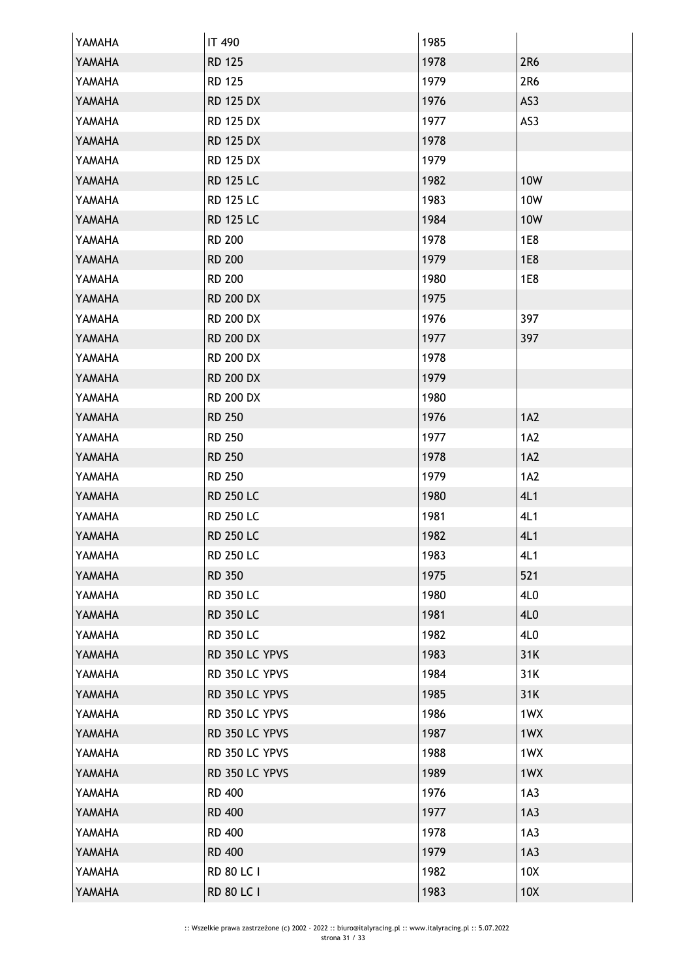| YAMAHA | <b>IT 490</b>     | 1985 |                 |
|--------|-------------------|------|-----------------|
| YAMAHA | <b>RD 125</b>     | 1978 | 2R6             |
| YAMAHA | <b>RD 125</b>     | 1979 | 2R6             |
| YAMAHA | <b>RD 125 DX</b>  | 1976 | AS3             |
| YAMAHA | <b>RD 125 DX</b>  | 1977 | AS3             |
| YAMAHA | <b>RD 125 DX</b>  | 1978 |                 |
| YAMAHA | <b>RD 125 DX</b>  | 1979 |                 |
| YAMAHA | <b>RD 125 LC</b>  | 1982 | <b>10W</b>      |
| YAMAHA | <b>RD 125 LC</b>  | 1983 | 10W             |
| YAMAHA | <b>RD 125 LC</b>  | 1984 | <b>10W</b>      |
| YAMAHA | <b>RD 200</b>     | 1978 | 1E8             |
| YAMAHA | <b>RD 200</b>     | 1979 | <b>1E8</b>      |
| YAMAHA | <b>RD 200</b>     | 1980 | <b>1E8</b>      |
| YAMAHA | <b>RD 200 DX</b>  | 1975 |                 |
| YAMAHA | <b>RD 200 DX</b>  | 1976 | 397             |
| YAMAHA | <b>RD 200 DX</b>  | 1977 | 397             |
| YAMAHA | <b>RD 200 DX</b>  | 1978 |                 |
| YAMAHA | <b>RD 200 DX</b>  | 1979 |                 |
| YAMAHA | <b>RD 200 DX</b>  | 1980 |                 |
| YAMAHA | <b>RD 250</b>     | 1976 | 1A2             |
| YAMAHA | <b>RD 250</b>     | 1977 | 1A2             |
| YAMAHA | <b>RD 250</b>     | 1978 | 1A2             |
| YAMAHA | <b>RD 250</b>     | 1979 | 1A2             |
| YAMAHA | <b>RD 250 LC</b>  | 1980 | 4L1             |
| YAMAHA | <b>RD 250 LC</b>  | 1981 | 4L1             |
| YAMAHA | <b>RD 250 LC</b>  | 1982 | 4L1             |
| YAMAHA | <b>RD 250 LC</b>  | 1983 | 4L1             |
| YAMAHA | RD 350            | 1975 | 521             |
| YAMAHA | <b>RD 350 LC</b>  | 1980 | 4L0             |
| YAMAHA | <b>RD 350 LC</b>  | 1981 | 4L0             |
| YAMAHA | <b>RD 350 LC</b>  | 1982 | 4L0             |
| YAMAHA | RD 350 LC YPVS    | 1983 | 31K             |
| YAMAHA | RD 350 LC YPVS    | 1984 | 31K             |
| YAMAHA | RD 350 LC YPVS    | 1985 | 31K             |
| YAMAHA | RD 350 LC YPVS    | 1986 | 1WX             |
| YAMAHA | RD 350 LC YPVS    | 1987 | 1WX             |
| YAMAHA | RD 350 LC YPVS    | 1988 | 1WX             |
| YAMAHA | RD 350 LC YPVS    | 1989 | 1WX             |
| YAMAHA | <b>RD 400</b>     | 1976 | 1A3             |
| YAMAHA | <b>RD 400</b>     | 1977 | 1A3             |
| YAMAHA | <b>RD 400</b>     | 1978 | 1A3             |
| YAMAHA | <b>RD 400</b>     | 1979 | 1A3             |
| YAMAHA | <b>RD 80 LC I</b> | 1982 | 10 <sub>X</sub> |
| YAMAHA | <b>RD 80 LC I</b> | 1983 | 10X             |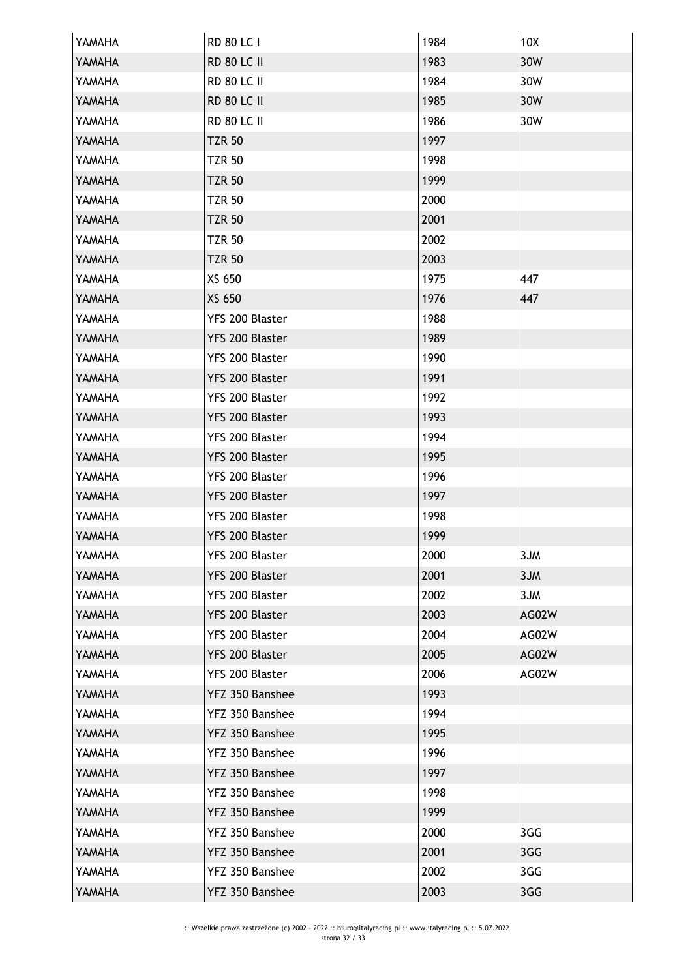| YAMAHA | RD 80 LC I         | 1984 | 10X   |
|--------|--------------------|------|-------|
| YAMAHA | <b>RD 80 LC II</b> | 1983 | 30W   |
| YAMAHA | <b>RD 80 LC II</b> | 1984 | 30W   |
| YAMAHA | <b>RD 80 LC II</b> | 1985 | 30W   |
| YAMAHA | <b>RD 80 LC II</b> | 1986 | 30W   |
| YAMAHA | <b>TZR 50</b>      | 1997 |       |
| YAMAHA | <b>TZR 50</b>      | 1998 |       |
| YAMAHA | <b>TZR 50</b>      | 1999 |       |
| YAMAHA | <b>TZR 50</b>      | 2000 |       |
| YAMAHA | <b>TZR 50</b>      | 2001 |       |
| YAMAHA | <b>TZR 50</b>      | 2002 |       |
| YAMAHA | <b>TZR 50</b>      | 2003 |       |
| YAMAHA | XS 650             | 1975 | 447   |
| YAMAHA | XS 650             | 1976 | 447   |
| YAMAHA | YFS 200 Blaster    | 1988 |       |
| YAMAHA | YFS 200 Blaster    | 1989 |       |
| YAMAHA | YFS 200 Blaster    | 1990 |       |
| YAMAHA | YFS 200 Blaster    | 1991 |       |
| YAMAHA | YFS 200 Blaster    | 1992 |       |
| YAMAHA | YFS 200 Blaster    | 1993 |       |
| YAMAHA | YFS 200 Blaster    | 1994 |       |
| YAMAHA | YFS 200 Blaster    | 1995 |       |
| YAMAHA | YFS 200 Blaster    | 1996 |       |
| YAMAHA | YFS 200 Blaster    | 1997 |       |
| YAMAHA | YFS 200 Blaster    | 1998 |       |
| YAMAHA | YFS 200 Blaster    | 1999 |       |
| YAMAHA | YFS 200 Blaster    | 2000 | 3JM   |
| YAMAHA | YFS 200 Blaster    | 2001 | 3JM   |
| YAMAHA | YFS 200 Blaster    | 2002 | 3JM   |
| YAMAHA | YFS 200 Blaster    | 2003 | AG02W |
| YAMAHA | YFS 200 Blaster    | 2004 | AG02W |
| YAMAHA | YFS 200 Blaster    | 2005 | AG02W |
| YAMAHA | YFS 200 Blaster    | 2006 | AG02W |
| YAMAHA | YFZ 350 Banshee    | 1993 |       |
| YAMAHA | YFZ 350 Banshee    | 1994 |       |
| YAMAHA | YFZ 350 Banshee    | 1995 |       |
| YAMAHA | YFZ 350 Banshee    | 1996 |       |
| YAMAHA | YFZ 350 Banshee    | 1997 |       |
| YAMAHA | YFZ 350 Banshee    | 1998 |       |
| YAMAHA | YFZ 350 Banshee    | 1999 |       |
| YAMAHA | YFZ 350 Banshee    | 2000 | 3GG   |
| YAMAHA | YFZ 350 Banshee    | 2001 | 3GG   |
| YAMAHA | YFZ 350 Banshee    | 2002 | 3GG   |
| YAMAHA | YFZ 350 Banshee    | 2003 | 3GG   |